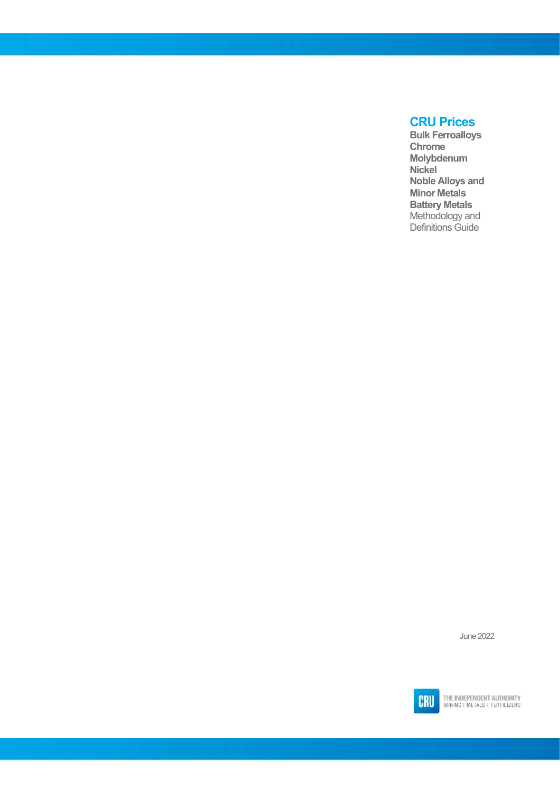### CRU Prices

Bulk Ferroalloys Chrome Molybdenum Nickel Noble Alloys and Minor Metals Battery Metals Methodology and Definitions Guide

June 2022

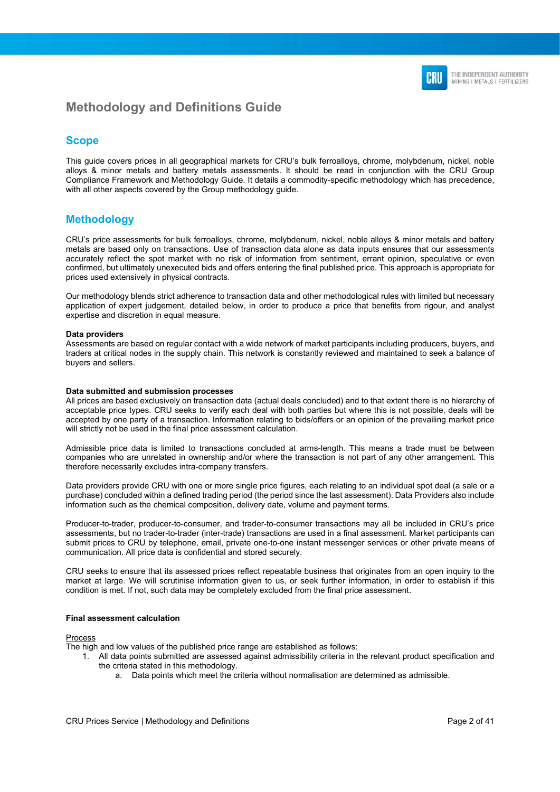

### Methodology and Definitions Guide

#### **Scope**

This guide covers prices in all geographical markets for CRU's bulk ferroalloys, chrome, molybdenum, nickel, noble alloys & minor metals and battery metals assessments. It should be read in conjunction with the CRU Group Compliance Framework and Methodology Guide. It details a commodity-specific methodology which has precedence, with all other aspects covered by the Group methodology guide.

#### Methodology

CRU's price assessments for bulk ferroalloys, chrome, molybdenum, nickel, noble alloys & minor metals and battery metals are based only on transactions. Use of transaction data alone as data inputs ensures that our assessments accurately reflect the spot market with no risk of information from sentiment, errant opinion, speculative or even confirmed, but ultimately unexecuted bids and offers entering the final published price. This approach is appropriate for prices used extensively in physical contracts.

Our methodology blends strict adherence to transaction data and other methodological rules with limited but necessary application of expert judgement, detailed below, in order to produce a price that benefits from rigour, and analyst expertise and discretion in equal measure.

#### Data providers

Assessments are based on regular contact with a wide network of market participants including producers, buyers, and traders at critical nodes in the supply chain. This network is constantly reviewed and maintained to seek a balance of buyers and sellers.

#### Data submitted and submission processes

All prices are based exclusively on transaction data (actual deals concluded) and to that extent there is no hierarchy of acceptable price types. CRU seeks to verify each deal with both parties but where this is not possible, deals will be accepted by one party of a transaction. Information relating to bids/offers or an opinion of the prevailing market price will strictly not be used in the final price assessment calculation.

Admissible price data is limited to transactions concluded at arms-length. This means a trade must be between companies who are unrelated in ownership and/or where the transaction is not part of any other arrangement. This therefore necessarily excludes intra-company transfers.

Data providers provide CRU with one or more single price figures, each relating to an individual spot deal (a sale or a purchase) concluded within a defined trading period (the period since the last assessment). Data Providers also include information such as the chemical composition, delivery date, volume and payment terms.

Producer-to-trader, producer-to-consumer, and trader-to-consumer transactions may all be included in CRU's price assessments, but no trader-to-trader (inter-trade) transactions are used in a final assessment. Market participants can submit prices to CRU by telephone, email, private one-to-one instant messenger services or other private means of communication. All price data is confidential and stored securely.

CRU seeks to ensure that its assessed prices reflect repeatable business that originates from an open inquiry to the market at large. We will scrutinise information given to us, or seek further information, in order to establish if this condition is met. If not, such data may be completely excluded from the final price assessment.

#### Final assessment calculation

Process

The high and low values of the published price range are established as follows:

- 1. All data points submitted are assessed against admissibility criteria in the relevant product specification and the criteria stated in this methodology.
	- a. Data points which meet the criteria without normalisation are determined as admissible.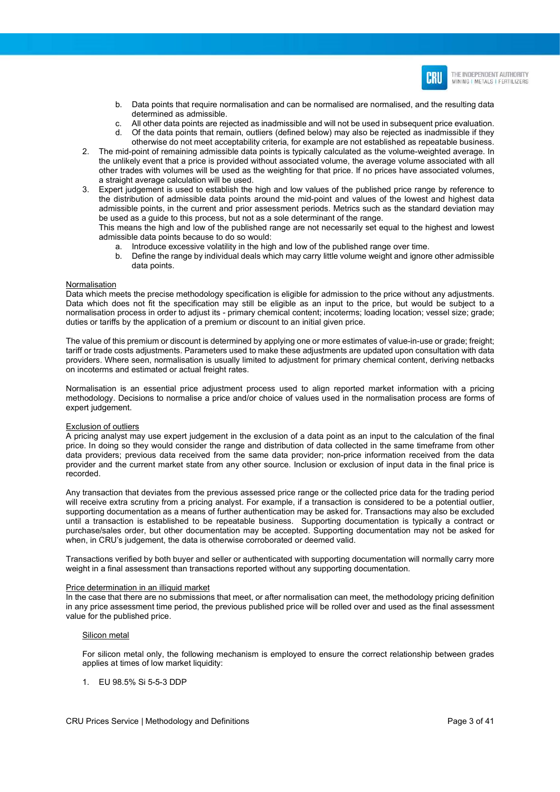

- b. Data points that require normalisation and can be normalised are normalised, and the resulting data determined as admissible.
- c. All other data points are rejected as inadmissible and will not be used in subsequent price evaluation.<br>Of the data points that remain outliers (defined below) may also be rejected as inadmissible if they Of the data points that remain, outliers (defined below) may also be rejected as inadmissible if they otherwise do not meet acceptability criteria, for example are not established as repeatable business.
- 2. The mid-point of remaining admissible data points is typically calculated as the volume-weighted average. In the unlikely event that a price is provided without associated volume, the average volume associated with all other trades with volumes will be used as the weighting for that price. If no prices have associated volumes, a straight average calculation will be used.
- 3. Expert judgement is used to establish the high and low values of the published price range by reference to the distribution of admissible data points around the mid-point and values of the lowest and highest data admissible points, in the current and prior assessment periods. Metrics such as the standard deviation may be used as a guide to this process, but not as a sole determinant of the range.

This means the high and low of the published range are not necessarily set equal to the highest and lowest admissible data points because to do so would:

- a. Introduce excessive volatility in the high and low of the published range over time.
- b. Define the range by individual deals which may carry little volume weight and ignore other admissible data points.

#### Normalisation

Data which meets the precise methodology specification is eligible for admission to the price without any adjustments. Data which does not fit the specification may still be eligible as an input to the price, but would be subject to a normalisation process in order to adjust its - primary chemical content; incoterms; loading location; vessel size; grade; duties or tariffs by the application of a premium or discount to an initial given price.

The value of this premium or discount is determined by applying one or more estimates of value-in-use or grade; freight; tariff or trade costs adjustments. Parameters used to make these adjustments are updated upon consultation with data providers. Where seen, normalisation is usually limited to adjustment for primary chemical content, deriving netbacks on incoterms and estimated or actual freight rates.

Normalisation is an essential price adjustment process used to align reported market information with a pricing methodology. Decisions to normalise a price and/or choice of values used in the normalisation process are forms of expert judgement.

#### Exclusion of outliers

A pricing analyst may use expert judgement in the exclusion of a data point as an input to the calculation of the final price. In doing so they would consider the range and distribution of data collected in the same timeframe from other data providers; previous data received from the same data provider; non-price information received from the data provider and the current market state from any other source. Inclusion or exclusion of input data in the final price is recorded.

Any transaction that deviates from the previous assessed price range or the collected price data for the trading period will receive extra scrutiny from a pricing analyst. For example, if a transaction is considered to be a potential outlier, supporting documentation as a means of further authentication may be asked for. Transactions may also be excluded until a transaction is established to be repeatable business. Supporting documentation is typically a contract or purchase/sales order, but other documentation may be accepted. Supporting documentation may not be asked for when, in CRU's judgement, the data is otherwise corroborated or deemed valid.

Transactions verified by both buyer and seller or authenticated with supporting documentation will normally carry more weight in a final assessment than transactions reported without any supporting documentation.

#### Price determination in an illiquid market

In the case that there are no submissions that meet, or after normalisation can meet, the methodology pricing definition in any price assessment time period, the previous published price will be rolled over and used as the final assessment value for the published price.

#### Silicon metal

For silicon metal only, the following mechanism is employed to ensure the correct relationship between grades applies at times of low market liquidity:

1. EU 98.5% Si 5-5-3 DDP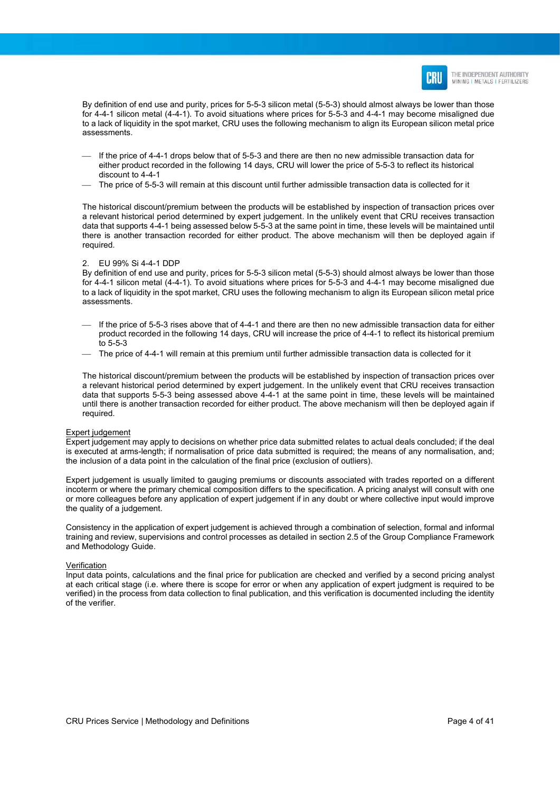

By definition of end use and purity, prices for 5-5-3 silicon metal (5-5-3) should almost always be lower than those for 4-4-1 silicon metal (4-4-1). To avoid situations where prices for 5-5-3 and 4-4-1 may become misaligned due to a lack of liquidity in the spot market, CRU uses the following mechanism to align its European silicon metal price assessments.

- $-$  If the price of 4-4-1 drops below that of 5-5-3 and there are then no new admissible transaction data for either product recorded in the following 14 days, CRU will lower the price of 5-5-3 to reflect its historical discount to 4-4-1
- The price of 5-5-3 will remain at this discount until further admissible transaction data is collected for it

The historical discount/premium between the products will be established by inspection of transaction prices over a relevant historical period determined by expert judgement. In the unlikely event that CRU receives transaction data that supports 4-4-1 being assessed below 5-5-3 at the same point in time, these levels will be maintained until there is another transaction recorded for either product. The above mechanism will then be deployed again if required.

#### 2. EU 99% Si 4-4-1 DDP

By definition of end use and purity, prices for 5-5-3 silicon metal (5-5-3) should almost always be lower than those for 4-4-1 silicon metal (4-4-1). To avoid situations where prices for 5-5-3 and 4-4-1 may become misaligned due to a lack of liquidity in the spot market, CRU uses the following mechanism to align its European silicon metal price assessments.

- $-$  If the price of 5-5-3 rises above that of 4-4-1 and there are then no new admissible transaction data for either product recorded in the following 14 days, CRU will increase the price of 4-4-1 to reflect its historical premium to 5-5-3
- The price of 4-4-1 will remain at this premium until further admissible transaction data is collected for it

The historical discount/premium between the products will be established by inspection of transaction prices over a relevant historical period determined by expert judgement. In the unlikely event that CRU receives transaction data that supports 5-5-3 being assessed above 4-4-1 at the same point in time, these levels will be maintained until there is another transaction recorded for either product. The above mechanism will then be deployed again if required.

#### Expert judgement

Expert judgement may apply to decisions on whether price data submitted relates to actual deals concluded; if the deal is executed at arms-length; if normalisation of price data submitted is required; the means of any normalisation, and; the inclusion of a data point in the calculation of the final price (exclusion of outliers).

Expert judgement is usually limited to gauging premiums or discounts associated with trades reported on a different incoterm or where the primary chemical composition differs to the specification. A pricing analyst will consult with one or more colleagues before any application of expert judgement if in any doubt or where collective input would improve the quality of a judgement.

Consistency in the application of expert judgement is achieved through a combination of selection, formal and informal training and review, supervisions and control processes as detailed in section 2.5 of the Group Compliance Framework and Methodology Guide.

#### Verification

Input data points, calculations and the final price for publication are checked and verified by a second pricing analyst at each critical stage (i.e. where there is scope for error or when any application of expert judgment is required to be verified) in the process from data collection to final publication, and this verification is documented including the identity of the verifier.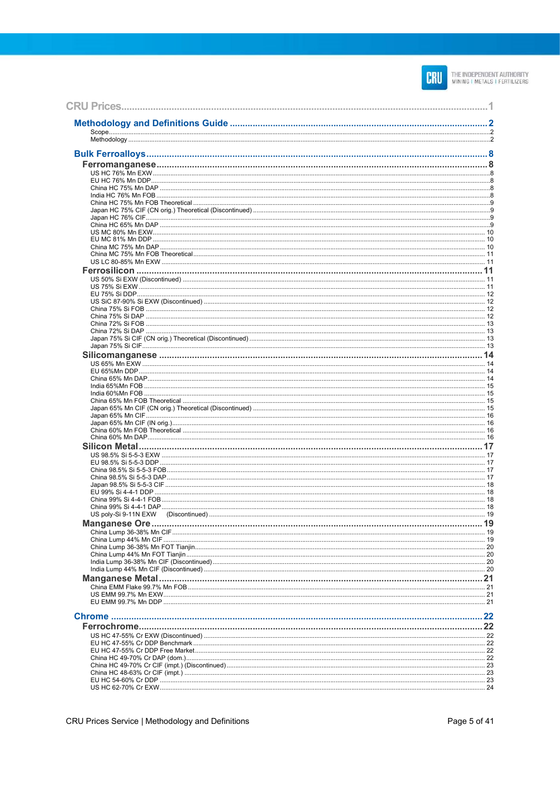

| <b>Manganese Ore</b> |  |
|----------------------|--|
|                      |  |
|                      |  |
|                      |  |
|                      |  |
|                      |  |
|                      |  |
|                      |  |
|                      |  |
|                      |  |
|                      |  |
|                      |  |
|                      |  |
|                      |  |
|                      |  |
|                      |  |
|                      |  |
|                      |  |
|                      |  |
|                      |  |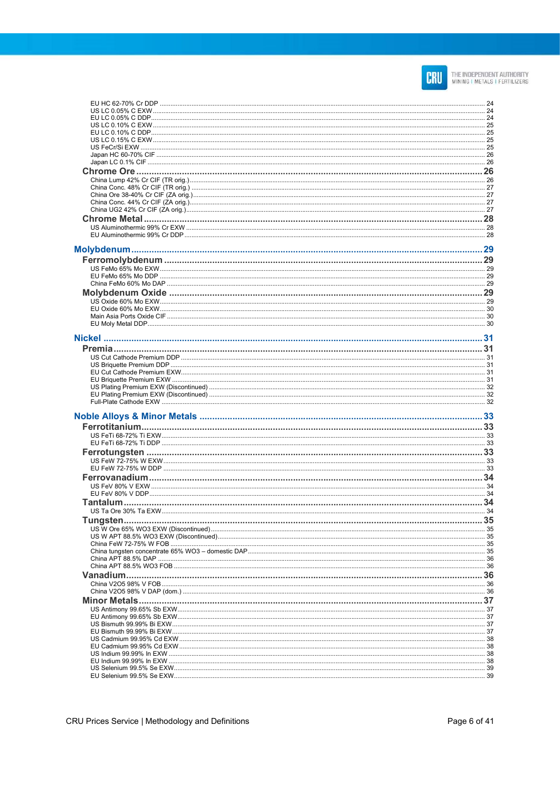

| <b>Tungsten</b> | 35 |
|-----------------|----|
|                 |    |
|                 |    |
|                 |    |
|                 |    |
|                 |    |
|                 |    |
|                 |    |
|                 |    |
|                 |    |
|                 |    |
|                 |    |
|                 |    |
|                 |    |
|                 |    |
|                 |    |
|                 |    |
|                 |    |
|                 |    |
|                 |    |
|                 |    |
|                 |    |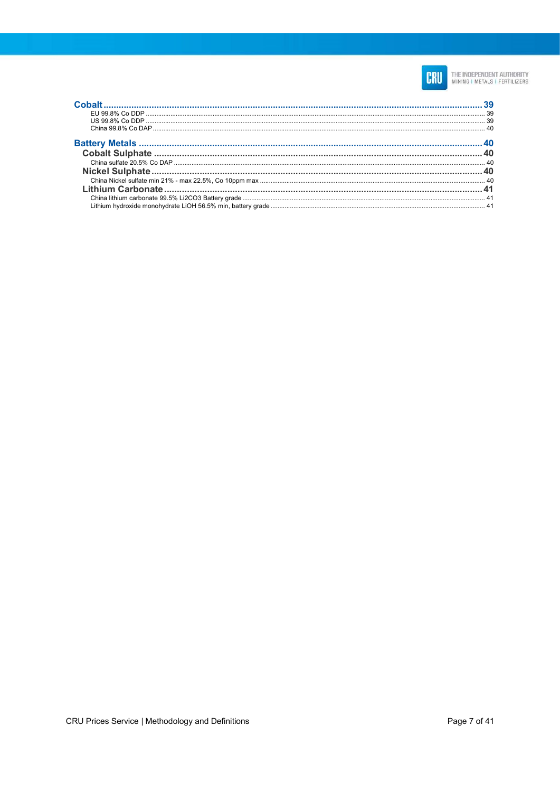

| о в село в село на применении с применения с применения с применения с применения с применения с применения и д<br>С применения в состоительности с применения с применения с применения с применения с применения с применения |  |
|---------------------------------------------------------------------------------------------------------------------------------------------------------------------------------------------------------------------------------|--|
|                                                                                                                                                                                                                                 |  |
|                                                                                                                                                                                                                                 |  |
|                                                                                                                                                                                                                                 |  |
|                                                                                                                                                                                                                                 |  |
|                                                                                                                                                                                                                                 |  |
|                                                                                                                                                                                                                                 |  |
|                                                                                                                                                                                                                                 |  |
|                                                                                                                                                                                                                                 |  |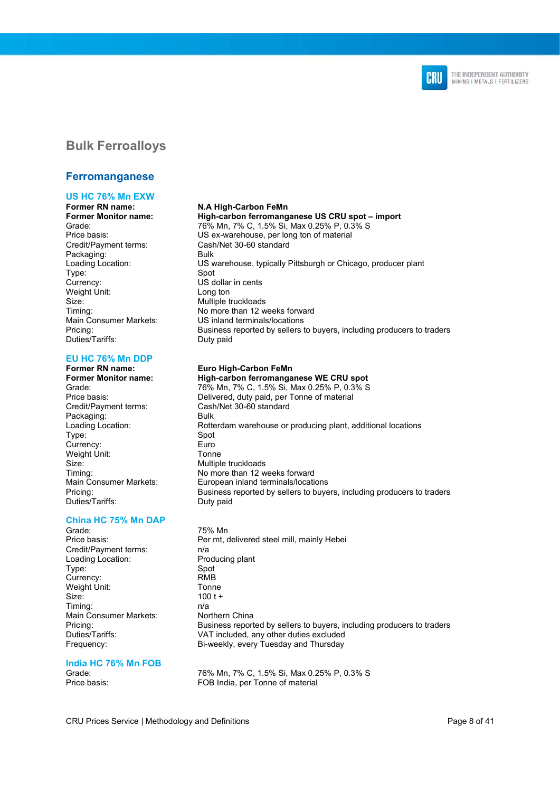

### Bulk Ferroalloys

#### Ferromanganese

## US HC 76% Mn EXW<br>Former RN name:

Credit/Payment terms: Cash/Net 30-60 standard Packaging: Bulk Type:<br>Currency: Weight Unit: Long ton Size: Multiple truckloads Duties/Tariffs: Duty paid

#### EU HC 76% Mn DDP

# Former RN name: Euro High-Carbon FeMn

Credit/Payment terms: Cash/Net 30-60 standard Packaging: Bulk<br>
Loading Location: Rott Type: Spot<br>Currencv: Euro Currency: Weight Unit: Tonne Size: Multiple truckloads<br>
Timing: Timing: Timing: Timing: The Momore than 12 w Duties/Tariffs: Duty paid

## China HC 75% Mn DAP

Grade: 75% Mn<br>Price basis: The Contract Per mt. c Credit/Payment terms: n/a Loading Location: Producing plant Type: Spot Currency: RMB Weight Unit: Tonne Size: 100 t + Timing: n/a Main Consumer Markets: Northern China

#### India HC 76% Mn FOB

#### **N.A High-Carbon FeMn**

### Former Monitor name:<br> $\frac{High-carbon \text{ ferromang} }{76\% \text{ Mn } 7\% \text{ C } 1.5\% \text{ Si } \text{May } 0.25\% \text{ P } 0.3\% \text{ S}}$

76% Mn, 7% C, 1.5% Si, Max 0.25% P, 0.3% S Price basis: US ex-warehouse, per long ton of material Loading Location: US warehouse, typically Pittsburgh or Chicago, producer plant US dollar in cents Timing: No more than 12 weeks forward Main Consumer Markets: US inland terminals/locations Pricing: Business reported by sellers to buyers, including producers to traders

- High-carbon ferromanganese WE CRU spot Grade: 76% Mn, 7% C, 1.5% Si, Max 0.25% P, 0.3% S Price basis: Delivered, duty paid, per Tonne of material Rotterdam warehouse or producing plant, additional locations No more than 12 weeks forward Main Consumer Markets: European inland terminals/locations<br>Pricing: European inland terminals/locations<br>Business reported by sellers to buye Business reported by sellers to buyers, including producers to traders
- Per mt, delivered steel mill, mainly Hebei Pricing: Fricing: Exercise of Business reported by sellers to buyers, including producers to traders<br>Duties/Tariffs: The VAT included, any other duties excluded Duties/Tariffs: VAT included, any other duties excluded<br>
Frequency: Si-weekly, every Tuesday and Thursday Bi-weekly, every Tuesday and Thursday

Grade: 76% Mn, 7% C, 1.5% Si, Max 0.25% P, 0.3% S<br>Price basis: FOR India per Tonne of material FOB India, per Tonne of material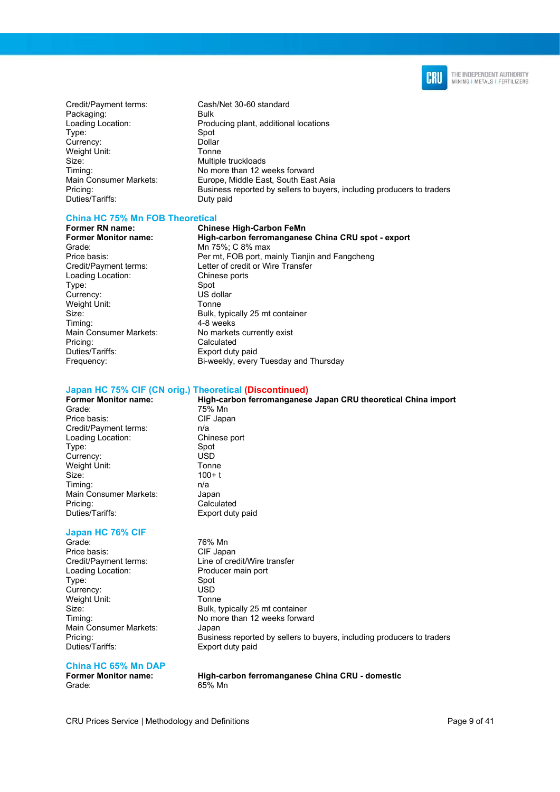

- Credit/Payment terms: Cash/Net 30-60 standard Packaging: Bulk Type: Currency: Dollar<br>
Weight Unit: Tonne Weight Unit: Size: Multiple truckloads Duties/Tariffs: Duty paid
- Loading Location: Producing plant, additional locations<br>
Type: Spot<br>
Spot Timing: No more than 12 weeks forward Main Consumer Markets: Europe, Middle East, South East Asia Pricing: Business reported by sellers to buyers, including producers to traders

#### China HC 75% Mn FOB Theoretical

Grade: Mn 75%; C 8% max Loading Location: Chine<br>Type: Spot Type: Spot<br>Currency: Spot US dollar Currency: US dol<br>
Weight Unit: Tonne Weight Unit: Main Consumer Markets: No markets currently exist Pricing: Calculated<br>
Duties/Tariffs: Calculated<br>
Duties/Tariffs: Calculated B Frequency: Bi-weekly, every Tuesday and Thursday

Former RN name: Chinese High-Carbon FeMn High-carbon ferromanganese China CRU spot - export Price basis: Price basis: Per mt, FOB port, mainly Tianjin and Fangcheng Credit/Payment terms: Letter of credit or Wire Transfer Size: Bulk, typically 25 mt container<br>Timina: Timina: 4-8 weeks 4-8 weeks Export duty paid

## Japan HC 75% CIF (CN orig.) Theoretical (Discontinued)

75% Mn

#### Former Monitor name: High-carbon ferromanganese Japan CRU theoretical China import<br>
T5% Mn<br>
T5% Mn Price basis: CIF Japan Credit/Payment terms: n/a<br>
Loading Location: Chinese port Loading Location: Type: Spot<br>Currency: Spot<br>USD Currency: Weight Unit: Tonne Size: 100+ t Timing: n/a Main Consumer Markets: Japan Pricing: Calculated<br>
Duties/Tariffs: Calculated<br>
Export duty

### Japan HC 76% CIF<br>Grade

Price basis: CIF Japan Loading Location: Producer main port Type: Spot<br>Currency: Spot Currency: Weight Unit: Tonne Main Consumer Markets: Japan Duties/Tariffs: Export duty paid

Export duty paid 76% Mn Credit/Payment terms: Line of credit/Wire transfer Size: Bulk, typically 25 mt container<br>Timing: Timing: Research Momore than 12 weeks forwa No more than 12 weeks forward Pricing: Business reported by sellers to buyers, including producers to traders

### China HC 65% Mn DAP

Grade: 65% Mn

High-carbon ferromanganese China CRU - domestic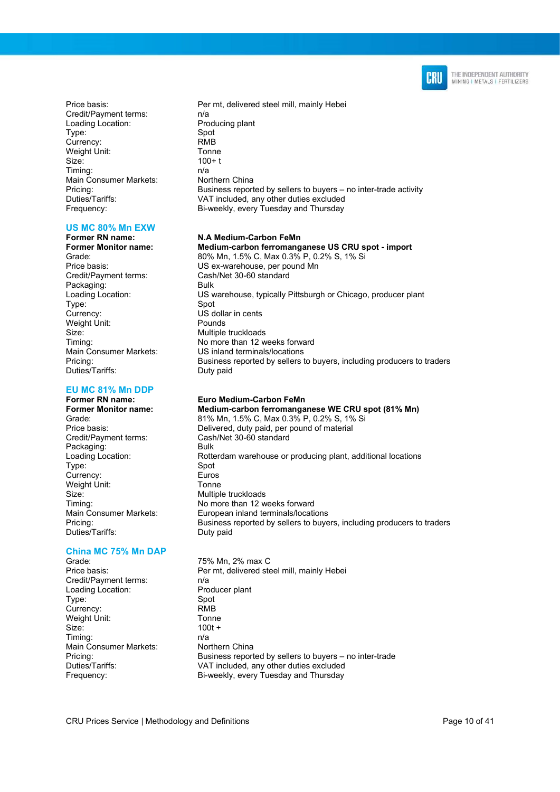

Credit/Payment terms: n/a Loading Location: Producing plant<br>
Type: Spot Type: Currency: RMB Weight Unit: Tonne Size: 100+ t Timing: n/a<br>Main Consumer Markets: n/a Northern China Main Consumer Markets:

## US MC 80% Mn EXW<br>Former RN name:

Former RN name: N.A Medium-Carbon FeMn<br>
Former Monitor name: Medium-carbon ferromang Credit/Payment terms: Cash<br>//Packaging: Cash Packaging: Type: Currency: US dollar in cents Weight Unit: Pounds Size: Multiple truckloads Duties/Tariffs:

## EU MC 81% Mn DDP<br>Former RN name:

Former RN name: Euro Medium-Carbon FeMn Packaging: Bulk<br>
Loading Location: Rotte Type: Spot Currency: Euros Weight Unit: Tonne Size: Multiple truckloads Duties/Tariffs: Duty paid

#### China MC 75% Mn DAP

Grade: 75% Mn, 2% max C<br>Price basis: 75% Per mt. delivered ste Credit/Payment terms: n/a Loading Location: Producer plant Type: Spot Currency: RMB Weight Unit: Tonne Size: 100t + Timing: n/a Main Consumer Markets: Northern China<br>Pricing: Business repor

Price basis: Price basis: Per mt, delivered steel mill, mainly Hebei Pricing: Business reported by sellers to buyers – no inter-trade activity<br>Duties/Tariffs: VAT included, any other duties excluded VAT included, any other duties excluded Frequency: Bi-weekly, every Tuesday and Thursday

Medium-carbon ferromanganese US CRU spot - import Grade: 80% Mn, 1.5% C, Max 0.3% P, 0.2% S, 1% Si Price basis: US ex-warehouse, per pound Mn<br>Credit/Payment terms: Cash/Net 30-60 standard Loading Location: US warehouse, typically Pittsburgh or Chicago, producer plant<br>
Type: Spot Timing: Timing: No more than 12 weeks forward<br>
Main Consumer Markets: US inland terminals/locations US inland terminals/locations Pricing: Business reported by sellers to buyers, including producers to traders<br>Duties/Tariffs: Duty paid

#### Medium-carbon ferromanganese WE CRU spot (81% Mn)

Grade: 81% Mn, 1.5% C, Max 0.3% P, 0.2% S, 1% Si Price basis: Delivered, duty paid, per pound of material Credit/Payment terms: Cash/Net 30-60 standard Cash/Net 30-60 standard Rotterdam warehouse or producing plant, additional locations Timing: No more than 12 weeks forward Main Consumer Markets: European inland terminals/locations Pricing: Business reported by sellers to buyers, including producers to traders

Per mt, delivered steel mill, mainly Hebei Pricing: Eventual Business reported by sellers to buyers – no inter-trade<br>
Duties/Tariffs: VAT included. any other duties excluded VAT included, any other duties excluded Frequency: Bi-weekly, every Tuesday and Thursday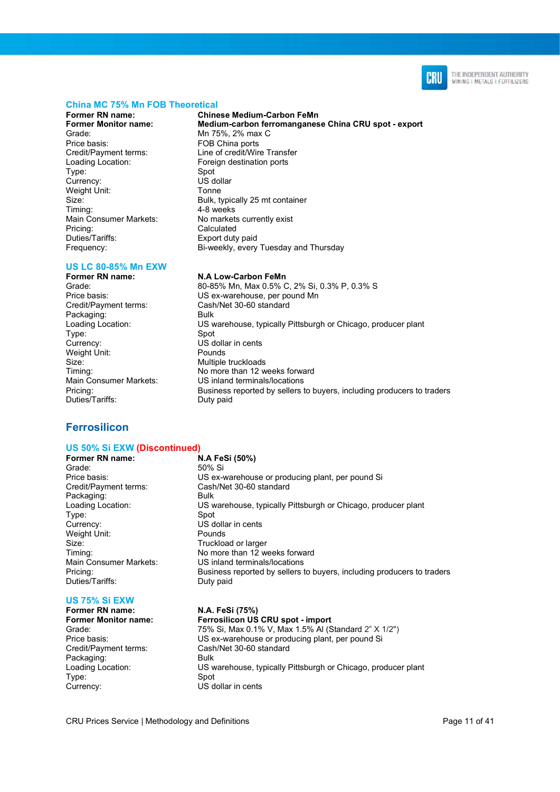

#### China MC 75% Mn FOB Theoretical

Former RN name: Chinese Medium-Carbon FeMn Grade: Mn 75%, 2% max C<br>Price basis: FOB China ports Loading Location: Foreign destination ports Type: Spot Currency: US dollar Weight Unit: Tonne Main Consumer Markets: No markets currently exist Pricing: Calculated Duties/Tariffs: Export duty paid

### US LC 80-85% Mn EXW<br>Former RN name:

Former RN name: N.A Low-Carbon FeMn<br>Grade: 80-85% Mn Max 0.5% C Credit/Payment terms: Cash/Net 30-60 standard Packaging: Bulk Type: Spot Currency: US dollar in cents Weight Unit: Pounds Size: Multiple truckloads Duties/Tariffs: Duty paid

### **Ferrosilicon**

#### US 50% Si EXW (Discontinued)

Former RN name: N.A FeSi (50%) Grade: 50% Si Credit/Payment terms: Cash/Net 30-60 standard Packaging: Bulk Type: Spot Currency: US dollar in cents<br>
Weight Unit: The Pounds<br>
Pounds Weight Unit: Size: Size: Truckload or larger Duties/Tariffs:

#### US 75% Si EXW

Credit/Payment terms: Cash/Net 30-60 standard Packaging: Bulk Type: Spot Currency: US dollar in cents

Medium-carbon ferromanganese China CRU spot - export FOB China ports Credit/Payment terms: Line of credit/Wire Transfer Size: Bulk, typically 25 mt container<br>
Timing: Timing: 4-8 weeks  $4-8$  weeks Frequency: Bi-weekly, every Tuesday and Thursday

Grade: 80-85% Mn, Max 0.5% C, 2% Si, 0.3% P, 0.3% S<br>Price basis: 11S ex-warehouse per pound Mn US ex-warehouse, per pound Mn Loading Location: US warehouse, typically Pittsburgh or Chicago, producer plant Timing: Timing: No more than 12 weeks forward<br>
Main Consumer Markets: US inland terminals/locations US inland terminals/locations Pricing: Business reported by sellers to buyers, including producers to traders

Price basis: US ex-warehouse or producing plant, per pound Si Loading Location: US warehouse, typically Pittsburgh or Chicago, producer plant Timing: No more than 12 weeks forward Main Consumer Markets: US inland terminals/locations Pricing: Business reported by sellers to buyers, including producers to traders<br>Duties/Tariffs: Duty paid

#### Former RN name: N.A. FeSi (75%)

Former Monitor name: Ferrosilicon US CRU spot - import Grade: 75% Si, Max 0.1% V, Max 1.5% Al (Standard 2" X 1/2") Price basis: US ex-warehouse or producing plant, per pound Si Loading Location: US warehouse, typically Pittsburgh or Chicago, producer plant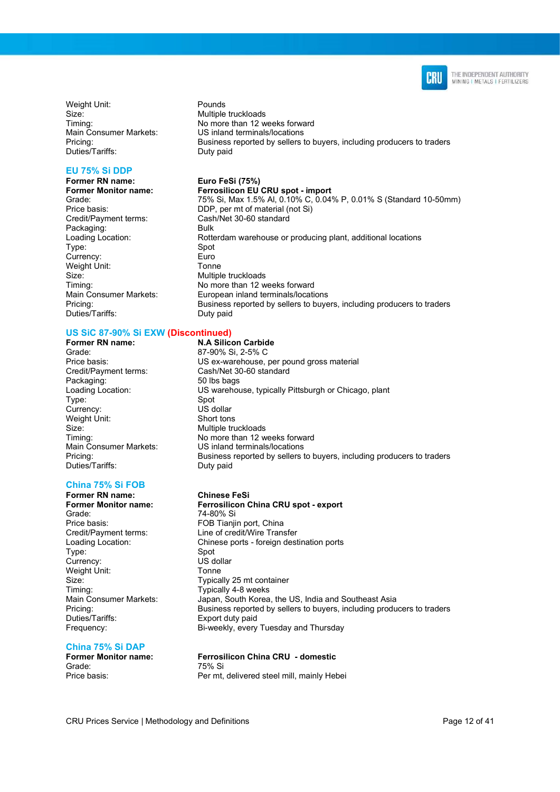

Weight Unit: Pounds Size: Size: Multiple truckloads Duties/Tariffs: Duty paid

#### EU 75% Si DDP

Former RN name: Euro FeSi (75%)<br>Former Monitor name: Ferrosilicon EU Credit/Payment terms: Cash/Net 30-60 standard Packaging: Bulk Type: Spot Currency: Euro Weight Unit: Tonne Size: Multiple truckloads<br>
Timing: Timing: No more than 12 w Duties/Tariffs: Duty paid

#### US SiC 87-90% Si EXW (Discontinued)

Grade: 87-90% Si, 2-5% C Credit/Payment terms: Cash/Net 30-60 standard Packaging: 50 lbs bags Type: Spot<br>Currency: Spot US dollar Currency: Weight Unit: Short tons Size: Multiple truckloads Main Consumer Markets:<br>Pricing: Duties/Tariffs: Duty paid

#### China 75% Si FOB

Former RN name: Chinese FeSi Grade: 74-80% Si<br>Price basis: The Contract of Transic Type: Spot Currency: US dollar Weight Unit: Tonne Size: Size: Typically 25 mt container Timing: Timing: Typically 4-8 weeks

#### China 75% Si DAP

Grade: 75% Si<br>Price basis: The Permit

Timing: Timing: No more than 12 weeks forward<br>
Main Consumer Markets: US inland terminals/locations US inland terminals/locations Pricing: Business reported by sellers to buyers, including producers to traders

Ferrosilicon EU CRU spot - import Grade: 75% Si, Max 1.5% Al, 0.10% C, 0.04% P, 0.01% S (Standard 10-50mm) Price basis: DDP, per mt of material (not Si) Rotterdam warehouse or producing plant, additional locations No more than 12 weeks forward Main Consumer Markets: European inland terminals/locations<br>Pricing: European inland terminals/locations<br>Business reported by sellers to buye Business reported by sellers to buyers, including producers to traders

Former RN name: N.A Silicon Carbide Price basis: US ex-warehouse, per pound gross material Loading Location: US warehouse, typically Pittsburgh or Chicago, plant Timing:  $\frac{1}{2}$  No more than 12 weeks forward<br>
Main Consumer Markets: US inland terminals/locations Business reported by sellers to buyers, including producers to traders

## Ferrosilicon China CRU spot - export FOB Tianjin port, China Credit/Payment terms: Line of credit/Wire Transfer Loading Location: Chinese ports - foreign destination ports Main Consumer Markets: Japan, South Korea, the US, India and Southeast Asia Pricing:<br>
Duties/Tariffs: Business reported by sellers to buyers, including producers to traders<br>
Duties/Tariffs: Export duty paid

Frequency: Bi-weekly, every Tuesday and Thursday

### Former Monitor name: Ferrosilicon China CRU - domestic Per mt, delivered steel mill, mainly Hebei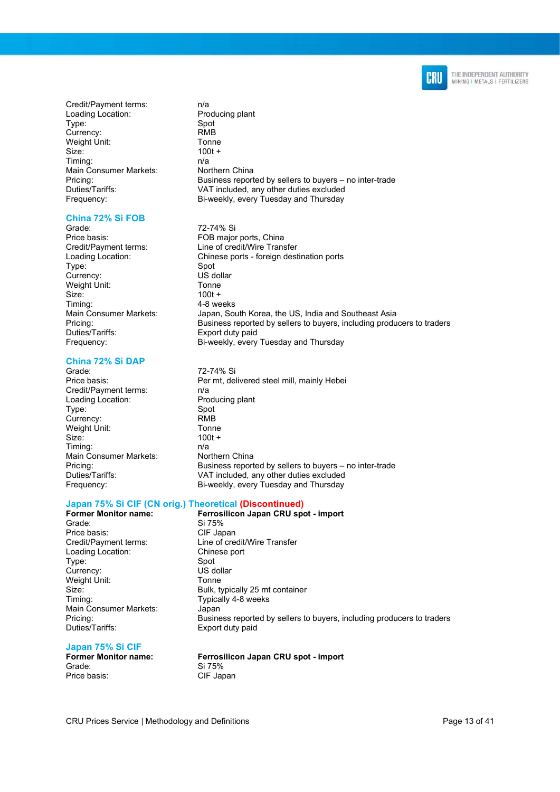

Credit/Payment terms: n/a Loading Location: Producing plant Type: Spot<br>Currency: Spot RMB Currency: Weight Unit: Tonne  $Size<sup>2</sup>$  100t + Timing: n/a Main Consumer Markets: Northern China<br>Pricing: Business report

#### China 72% Si FOB

Grade: 72-74% Si<br>Price basis: 76 Terminal Service basis: Type: Spot<br>Currency: Spot US dollar Currency: US dol<br>
Weight Unit: Tonne Weight Unit: Size: 100t +<br>Timing: 100t +<br>4-8 we Duties/Tariffs: Export duty paid

#### China 72% Si DAP

Grade: 72-74% Si Credit/Payment terms: n/a Loading Location: Producing plant Type: Spot Currency: RMB Weight Unit: Tonne Size: 100t + Timing: n/a<br>
Main Consumer Markets: Northern China Main Consumer Markets:

Business reported by sellers to buyers – no inter-trade Duties/Tariffs: VAT included, any other duties excluded Frequency: Bi-weekly, every Tuesday and Thursday

FOB major ports, China Credit/Payment terms: Line of credit/Wire Transfer Loading Location: Chinese ports - foreign destination ports 4-8 weeks Main Consumer Markets: Japan, South Korea, the US, India and Southeast Asia<br>Pricing: Fricing: Fricing: Business reported by sellers to buyers, including produ Business reported by sellers to buyers, including producers to traders Frequency: Bi-weekly, every Tuesday and Thursday

Price basis: Price basis: Per mt, delivered steel mill, mainly Hebei Pricing: Business reported by sellers to buyers – no inter-trade Duties/Tariffs: VAT included, any other duties excluded Frequency: Bi-weekly, every Tuesday and Thursday

## Japan 75% Si CIF (CN orig.) Theoretical (Discontinued)<br>Former Monitor name: Ferrosilicon Japan CRU sp

Price basis: CIF Japan<br>Credit/Payment terms: Line of cre Loading Location: Chinese port Type: Spot<br>Currency: Spot US dollar Currency: Weight Unit: Tonne Timing: Timing: Typically 4-8 weeks Main Consumer Markets: Japan<br>Pricing: Busine Duties/Tariffs: Export duty paid

Former Monitor name:<br>Grade: Si 75%<br>Si 75% Si 75% Line of credit/Wire Transfer Size: Bulk, typically 25 mt container Business reported by sellers to buyers, including producers to traders

#### Japan 75% Si CIF

Grade: Si 75%<br>Price basis: Si 75%<br>CIF Jar

Former Monitor name: Ferrosilicon Japan CRU spot - import CIF Japan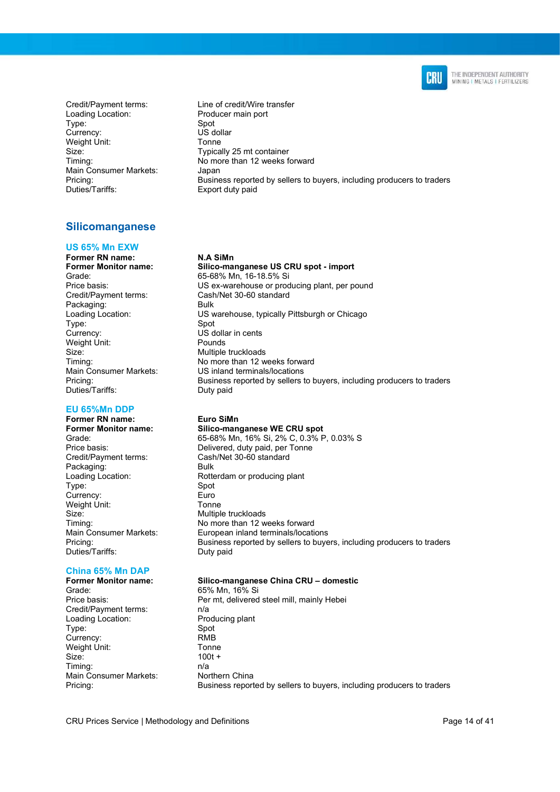

Loading Location: Producer main port Type: Spot<br>Currency: Spot US dollar Currency: Weight Unit: Tonne Size: Size: Typically 25 mt container Main Consumer Markets: Japan<br>Pricing: Busine Duties/Tariffs: Export duty paid

Credit/Payment terms: Line of credit/Wire transfer Timing: Timing: No more than 12 weeks forward Business reported by sellers to buyers, including producers to traders

### Silicomanganese

#### US 65% Mn EXW

### Former RN name: N.A SiMn

Grade: 65-68% Mn, 16-18.5% Si<br>Price basis: exercise of the US ex-warehouse or proc Credit/Payment terms: Cash/Net 30-60 standard Packaging: Type: Spot<br>Currency: Spot<br>US d Weight Unit: Pounds Size: Multiple truckloads Duties/Tariffs: Duty paid

#### EU 65%Mn DDP

Former RN name: Euro SiMn<br>Former Monitor name: Silico-man Packaging: Bulk Type: Spot Currency: Euro Weight Unit: Tonne Size: Multiple truckloads<br>
Timing: Timing: Timing: Timing: The Momore than 12 w Duties/Tariffs: Duty paid

## China 65% Mn DAP

Grade: 65% Mn, 16% Si Credit/Payment terms: n/a Loading Location: Producing plant Type: Spot Currency: RMB Weight Unit: Tonne Size: 100t + Timing: n/a<br>
Main Consumer Markets: Northern China Main Consumer Markets:

## Former Monitor name: Silico-manganese US CRU spot - import

US ex-warehouse or producing plant, per pound Loading Location: US warehouse, typically Pittsburgh or Chicago US dollar in cents Timing: No more than 12 weeks forward Main Consumer Markets: US inland terminals/locations<br>
Pricing: Business reported by sellers t Business reported by sellers to buyers, including producers to traders

Former Monitor name: Silico-manganese WE CRU spot<br>Grade: 65-68% Mn, 16% Si, 2% C, 0.3% F Grade: 65-68% Mn, 16% Si, 2% C, 0.3% P, 0.03% S Price basis: Delivered, duty paid, per Tonne<br>
Credit/Payment terms: Cash/Net 30-60 standard Cash/Net 30-60 standard Loading Location: Rotterdam or producing plant No more than 12 weeks forward Main Consumer Markets: European inland terminals/locations Pricing: Business reported by sellers to buyers, including producers to traders

#### Silico-manganese China CRU – domestic

Price basis: Price basis: Per mt, delivered steel mill, mainly Hebei Pricing: Business reported by sellers to buyers, including producers to traders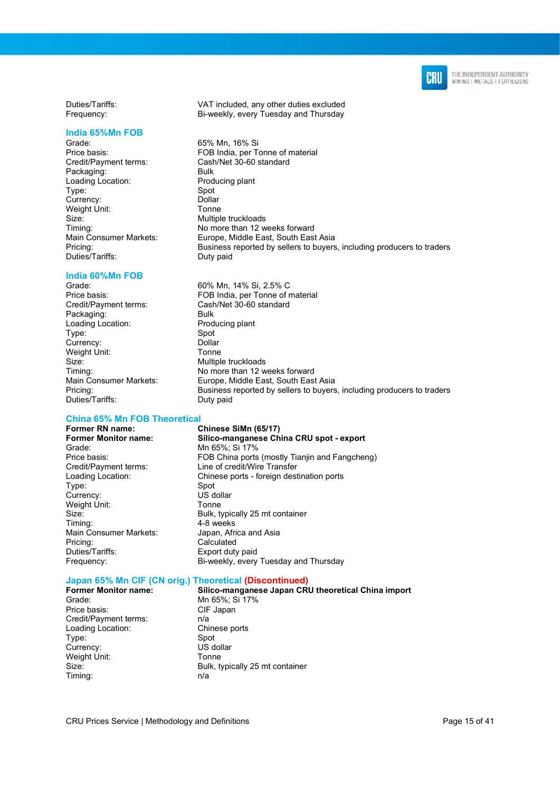

Duties/Tariffs: VAT included, any other duties excluded Frequency: Bi-weekly, every Tuesday and Thursday

#### India 65%Mn FOB

Grade: 65% Mn, 16% Si Price basis: FOB India, per Tonne of material<br>Credit/Payment terms: Cash/Net 30-60 standard Credit/Payment terms: Packaging: Bulk Loading Location: Producing plant<br>
Type: Spot Type: Spot<br>
Currency: Spot Currency: Weight Unit: Tonne Size: Multiple truckloads<br>
Timing: Timing: Timing: Timing: The Momore than 12 w Timing: Timing: No more than 12 weeks forward<br>
Main Consumer Markets: Europe, Middle East, South Eas Pricing: Business reported by sellers to buyers, including producers to traders Duties/Tariffs: Duty paid

### India 60%Mn FOB<br>Grade:

Price basis: FOB India, per Tonne of material<br>Credit/Payment terms: Cash/Net 30-60 standard Packaging: Bulk<br>
Loading Location: Producing plant Loading Location: Type: Spot Currency: Dollar Weight Unit: Tonne Size: Multiple truckloads Timing: No more than 12 weeks forward Main Consumer Markets: Europe, Middle East, South East Asia Pricing: Business reported by sellers to buyers, including producers to traders Duties/Tariffs: Duty paid

## China 65% Mn FOB Theoretical<br>Former RN name: (

Former RN name: Chinese SiMn (65/17)<br>Former Monitor name: Silico-manganese Ch Grade: Mn 65%; Si 17%<br>Price basis: ECB China ports Type: Spot<br>Currency: Summer Summer Summer Section<br>The Summer Summer Summer Summer Section Currency: Weight Unit: Tonne Main Consumer Markets: Japan, Africa and Asia Pricing: Calculated<br>
Duties/Tariffs: Calculated<br>
Export duty

FOB China ports (mostly Tianjin and Fangcheng) Credit/Payment terms: Line of credit/Wire Transfer Loading Location: Chinese ports - foreign destination ports Size: Bulk, typically 25 mt container<br>Timing: Timing: 4-8 weeks  $4-8$  weeks Export duty paid Frequency: Bi-weekly, every Tuesday and Thursday

Silico-manganese China CRU spot - export

Europe, Middle East, South East Asia

60% Mn, 14% Si, 2.5% C

Cash/Net 30-60 standard

## Japan 65% Mn CIF (CN orig.) Theoretical (Discontinued)

Grade: Mn 65%; Si 17% Price basis: CIF Japan Credit/Payment terms: <br>
Loading Location: Chinese ports Loading Location: Type: Spot Currency: US dollar Weight Unit: Tonne Timing: n/a

Silico-manganese Japan CRU theoretical China import Size: Bulk, typically 25 mt container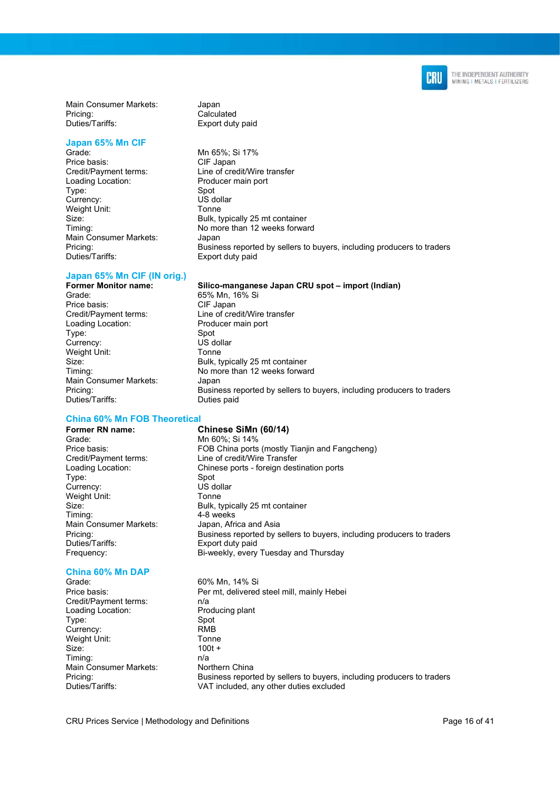

Main Consumer Markets: Japan<br>Pricing: Calcul Duties/Tariffs: Export duty paid

## Japan 65% Mn CIF<br>Grade:

Price basis: CIF Japan Loading Location: Producer main port<br>
Type: Spot<br>
Spot Type: Spot<br>Currency: Spot US dollar Currency: Weight Unit: Tonne Main Consumer Markets: Japan

# Calculated

CIF Japan

Mn 65%; Si 17% Credit/Payment terms: Line of credit/Wire transfer Size: Bulk, typically 25 mt container<br>Timing: Timing: Timing: Research 2009 Momore than 12 weeks forwa No more than 12 weeks forward Pricing: example in the Business reported by sellers to buyers, including producers to traders<br>Duties/Tariffs: Export duty paid Export duty paid

## Japan 65% Mn CIF (IN orig.)<br>Former Monitor name:

Grade: 65% Mn, 16% Si<br>Price basis: CIF Japan Credit/Payment terms: Line of credit/Wire transfer Loading Location: Producer main port Type: Spot Currency: US dollar Weight Unit: Tonne Size: Bulk, typically 25 mt container Timing: No more than 12 weeks forward Main Consumer Markets: Japan Duties/Tariffs: Duties paid

#### China 60% Mn FOB Theoretical

Former RN name: Chinese SiMn (60/14)<br>Grade: Mn 60%: Si 14% Grade: Mn 60%; Si 14%<br>Price basis: FOB China ports Credit/Payment terms: Line of credit/Wire Transfer<br>
Loading Location: Chinese ports - foreign dest Type: Spot Currency: US dollar Weight Unit: Tonne Timing: 4-8 weeks Main Consumer Markets: Japan, Africa and Asia Duties/Tariffs: Export duty paid

### China 60% Mn DAP

Credit/Payment terms: n/a Loading Location: Producing plant Type: Spot Currency: RMB Weight Unit: Tonne Size: 100t + Timing: n/a<br>
Main Consumer Markets: Northern China Main Consumer Markets:<br>Pricing:

Pricing: Business reported by sellers to buyers, including producers to traders FOB China ports (mostly Tianiin and Fangcheng) Chinese ports - foreign destination ports

Silico-manganese Japan CRU spot – import (Indian)

Size: Bulk, typically 25 mt container Pricing: Business reported by sellers to buyers, including producers to traders Frequency: Bi-weekly, every Tuesday and Thursday

60% Mn, 14% Si Price basis: Price basis: Per mt, delivered steel mill, mainly Hebei Pricing:<br>
Duties/Tariffs: Business reported by sellers to buyers, including producers to traders<br>
Duties/Tariffs:<br>
VAT included any other duties excluded VAT included, any other duties excluded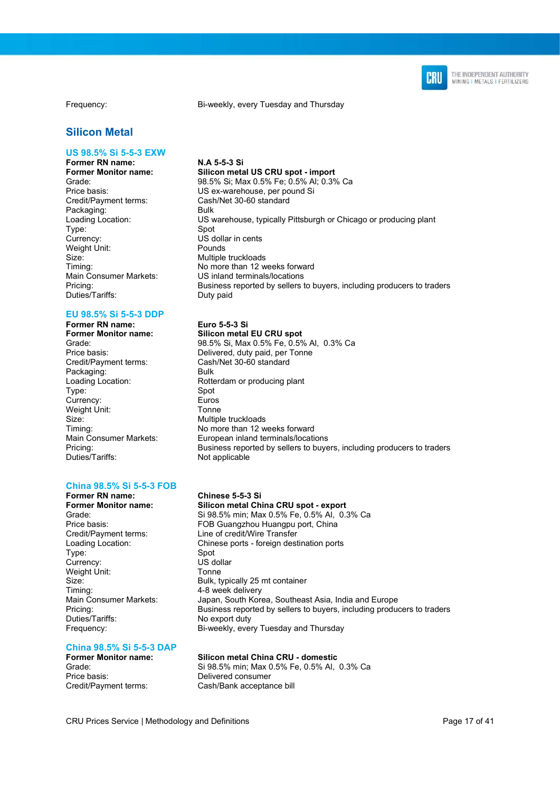

#### Silicon Metal

#### US 98.5% Si 5-5-3 EXW

Former RN name: <br>Former Monitor name: Silicon meta Packaging: Bulk<br>
Loading Location: US w Type: Spot Weight Unit: Pounds Size: Multiple truckloads Duties/Tariffs: Duty paid

#### EU 98.5% Si 5-5-3 DDP

Former RN name: Euro 5-5-3 Si<br>Former Monitor name: Silicon metal Credit/Payment terms: Cash/Net 30-60 standard Packaging: Bulk Type: Spot Currency: Euros Weight Unit: Tonne Size: Multiple truckloads<br>
Timina: Timina: No more than 12 w

#### China 98.5% Si 5-5-3 FOB

Former RN name: Chinese 5-5-3 Si Credit/Payment terms: Line of credit/Wire Transfer<br>
Loading Location: Chinese ports - foreign dest Type: Spot Currency: US dollar Weight Unit: Tonne Timing: 1990<br>Main Consumer Markets: 1991<br>Japan, South Kor Duties/Tariffs: No export duty

#### Frequency: Bi-weekly, every Tuesday and Thursday

Silicon metal US CRU spot - import Grade: 98.5% Si; Max 0.5% Fe; 0.5% Al; 0.3% Ca<br>Price basis: 98.5% US ex-warehouse, per pound Si Price basis: US ex-warehouse, per pound Si<br>Credit/Payment terms: Cash/Net 30-60 standard Cash/Net 30-60 standard US warehouse, typically Pittsburgh or Chicago or producing plant US dollar in cents Timing: No more than 12 weeks forward Main Consumer Markets: US inland terminals/locations<br>
Pricing: Business reported by sellers t Business reported by sellers to buyers, including producers to traders

Silicon metal EU CRU spot Grade: 98.5% Si, Max 0.5% Fe, 0.5% Al, 0.3% Ca Price basis: Delivered, duty paid, per Tonne Loading Location: Rotterdam or producing plant Timing: Timing: No more than 12 weeks forward<br>
Main Consumer Markets: European inland terminals/locating European inland terminals/locations Pricing:<br>
Duties/Tariffs: **Business reported by sellers to buyers**, including producers to traders<br>
Duties/Tariffs: Not applicable

Silicon metal China CRU spot - export Grade: Si 98.5% min; Max 0.5% Fe, 0.5% Al, 0.3% Ca Price basis: FOB Guangzhou Huangpu port, China Chinese ports - foreign destination ports Size: Bulk, typically 25 mt container Japan, South Korea, Southeast Asia, India and Europe Pricing: Business reported by sellers to buyers, including producers to traders Frequency: Bi-weekly, every Tuesday and Thursday

## China 98.5% Si 5-5-3 DAP

### Silicon metal China CRU - domestic

Grade: Si 98.5% min; Max 0.5% Fe, 0.5% Al, 0.3% Ca<br>Price basis: Delivered consumer Delivered consumer Credit/Payment terms: Cash/Bank acceptance bill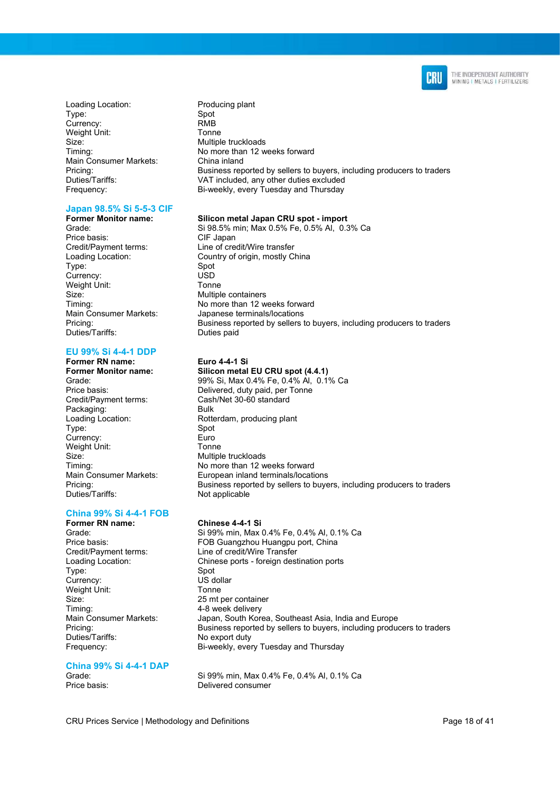

Loading Location: Producing plant Type: Spot Currency: RMB<br>
Weight Unit: Tonne Weight Unit: Size: Multiple truckloads Main Consumer Markets: China inland

#### Japan 98.5% Si 5-5-3 CIF

Price basis: Type: Spot Currency: USD Weight Unit: Size: Multiple containers<br>Timing: Timing: No more than 12 w Duties/Tariffs: Duties paid

#### EU 99% Si 4-4-1 DDP

## Former RN name: Euro 4-4-1 Single Termer Monitor name: Silicon metal

Credit/Payment terms: Cash/Net 30-60 standard Packaging: Type: Spot Currency: Euro Weight Unit:<br>Size: Multipl Duties/Tariffs: Not applicable

### China 99% Si 4-4-1 FOB

Type: Spot Currency: US dollar Weight Unit: Tonne Size: 25 mt per container Timing: 4-8 week delivery Duties/Tariffs: No export duty

### China 99% Si 4-4-1 DAP

Timing: No more than 12 weeks forward Pricing: Business reported by sellers to buyers, including producers to traders<br>Duties/Tariffs: VAT included, any other duties excluded VAT included, any other duties excluded Frequency: Bi-weekly, every Tuesday and Thursday

#### Former Monitor name: Silicon metal Japan CRU spot - import

Grade: Si 98.5% min; Max 0.5% Fe, 0.5% Al, 0.3% Ca Credit/Payment terms: Line of credit/Wire transfer Loading Location: Country of origin, mostly China No more than 12 weeks forward Main Consumer Markets: Japanese terminals/locations<br>Pricina: Distincts Consumers in Business reported by sellers Business reported by sellers to buyers, including producers to traders

Silicon metal EU CRU spot (4.4.1) Grade: 99% Si, Max 0.4% Fe, 0.4% Al, 0.1% Ca Price basis: Delivered, duty paid, per Tonne Loading Location: Rotterdam, producing plant Multiple truckloads Timing: No more than 12 weeks forward Main Consumer Markets: European inland terminals/locations Pricing: Business reported by sellers to buyers, including producers to traders

#### Former RN name: Chinese 4-4-1 Si

Grade: Si 99% min, Max 0.4% Fe, 0.4% Al, 0.1% Ca<br>
FOR Guangzhou Huangpu port China FOB Guangzhou Huangpu port, China Credit/Payment terms: Line of credit/Wire Transfer Loading Location: Chinese ports - foreign destination ports Main Consumer Markets: Japan, South Korea, Southeast Asia, India and Europe Pricing: Business reported by sellers to buyers, including producers to traders Frequency: Bi-weekly, every Tuesday and Thursday

Si 99% min, Max 0.4% Fe, 0.4% Al, 0.1% Ca Price basis: Delivered consumer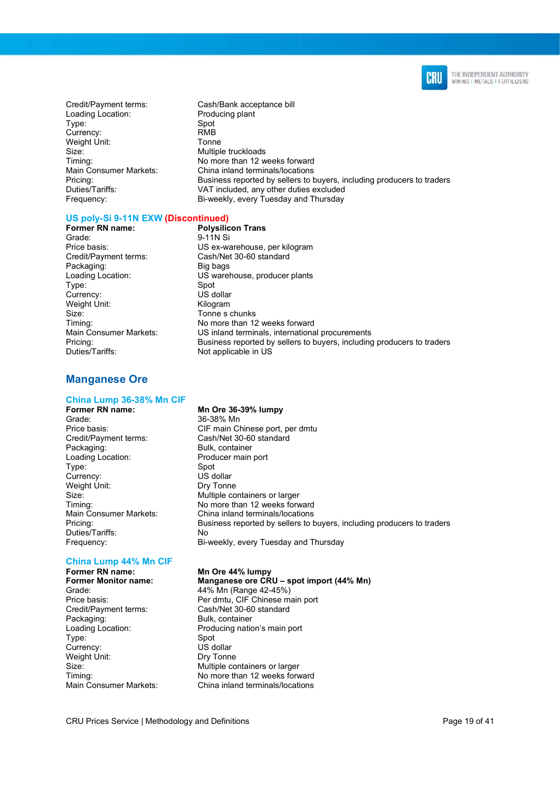

Credit/Payment terms: Cash/Bank acceptance bill Loading Location: Producing plant Type: Spot<br>Currency: Spot RMB Currency: Weight Unit:<br>Size: Tonne

Multiple truckloads Timing: No more than 12 weeks forward Main Consumer Markets: China inland terminals/locations<br>Pricing: China inland terminals/locations<br> $\overline{\phantom{a}}$ Business reported by sellers to buyers, including producers to traders Duties/Tariffs: VAT included, any other duties excluded Frequency: Bi-weekly, every Tuesday and Thursday

#### US poly-Si 9-11N EXW (Discontinued)

**Former RN name:** Polysilicon Trans<br>Grade: 9-11N Si Credit/Payment terms: Cash/Net 30-60 standard Packaging: Big bags Type: Spot Currency: US dollar<br>
Weight Unit: 
Weight Unit: Weight Unit: Size: Tonne s chunks<br>
Timing: Timing: Timing: The Solution of the Solution of the Solution of the Solution of the Solution of Tene<br>
The Solution of the Solution of the Solution of the Solution of the Solution of the Soluti

### 9-11N Si Price basis: US ex-warehouse, per kilogram Loading Location: US warehouse, producer plants No more than 12 weeks forward Main Consumer Markets: US inland terminals, international procurements Pricing: example in the Business reported by sellers to buyers, including producers to traders<br>Duties/Tariffs: example and Not applicable in US Not applicable in US

### Manganese Ore

## China Lump 36-38% Mn CIF

Grade: 36-38% Mn<br>Price basis: 36-38% Mn<br>CIF main Cl Packaging: Bulk, container<br>
Loading Location: Producer main port Loading Location: Type: Spot Currency: US dollar Weight Unit: Dry Tonne Duties/Tariffs: No

### China Lump 44% Mn CIF

Former RN name: Mn Ore 44% lumpy<br>Former Monitor name: Manganese ore CR Grade: 44% Mn (Range 42-45%) Credit/Payment terms: Cash/Net 30-60 standard Type: Spot Currency: US dollar Weight Unit: Dry Tonne

#### Mn Ore 36-39% lumpy

Price basis: CIF main Chinese port, per dmtu<br>Credit/Payment terms: Cash/Net 30-60 standard Cash/Net 30-60 standard Size: **Multiple containers or larger** Timing: No more than 12 weeks forward Main Consumer Markets: China inland terminals/locations<br>Pricina: China inland terminals/locations<br>Rusiness reported by sellers to t Business reported by sellers to buyers, including producers to traders Frequency: Bi-weekly, every Tuesday and Thursday

### Manganese ore CRU – spot import (44% Mn)

Price basis: Per dmtu, CIF Chinese main port Bulk, container Loading Location: Producing nation's main port Size: Multiple containers or larger<br>
Timing: Timing: No more than 12 weeks forw No more than 12 weeks forward Main Consumer Markets: China inland terminals/locations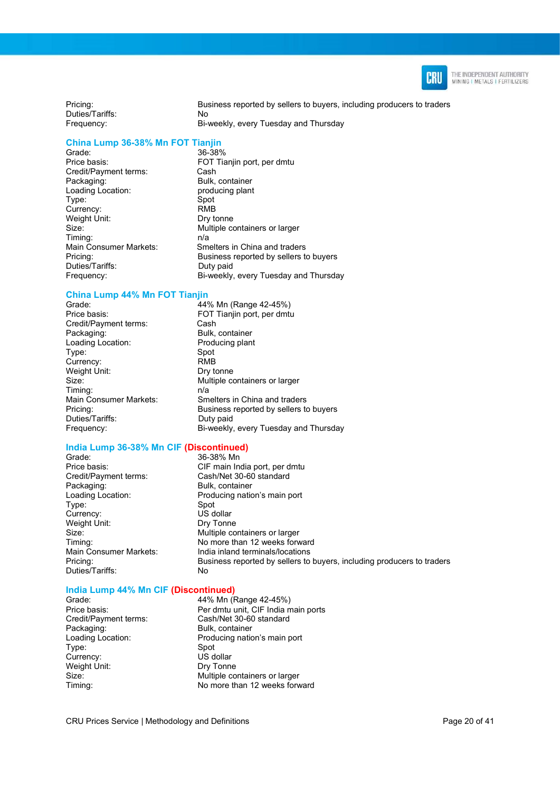

Pricing: Business reported by sellers to buyers, including producers to traders Duties/Tariffs: No Frequency: Bi-weekly, every Tuesday and Thursday

### China Lump 36-38% Mn FOT Tianjin

Grade:<br>Price basis: Credit/Payment terms: Packaging: Bulk, container<br>
Loading Location: producing plant Loading Location: Type: Spot Currency: RMB Weight Unit: Dry tonne Timing: n/a Duties/Tariffs: Duty paid

FOT Tianjin port, per dmtu<br>Cash Size: Multiple containers or larger Main Consumer Markets: Smelters in China and traders Pricing: Business reported by sellers to buyers Frequency: Bi-weekly, every Tuesday and Thursday

### China Lump 44% Mn FOT Tianjin<br>Grade: 44%

Credit/Payment terms: Cash<br>Packaging: Bulk, Loading Location: Producing plant Type: Spot Currency: RMB Weight Unit: Dry tonne Timing: n/a<br>Main Consumer Markets: Sm Duties/Tariffs: Duty paid

44% Mn (Range 42-45%) Price basis: FOT Tianjin port, per dmtu Bulk, container Size: Multiple containers or larger Smelters in China and traders Pricing: Business reported by sellers to buyers Frequency: Bi-weekly, every Tuesday and Thursday

#### India Lump 36-38% Mn CIF (Discontinued) 36-38% Mn

Price basis: CIF main India port, per dmtu Credit/Payment terms: Cash/Net 30-60 standard Packaging: Bulk, container Type: Spot Currency: US dollar<br>
Weight Unit: 
US Dry Tonne Weight Unit: Duties/Tariffs: No

Loading Location: Producing nation's main port Size: Multiple containers or larger Timing: <br>
Mo more than 12 weeks forward<br>
Main Consumer Markets: lndia inland terminals/locations India inland terminals/locations Pricing: Business reported by sellers to buyers, including producers to traders

#### India Lump 44% Mn CIF (Discontinued)

Type: Spot Currency: US dollar<br>
Weight Unit: 
US Drv Tonne Weight Unit:<br>Size:

Grade: 44% Mn (Range 42-45%) Price basis: Per dmtu unit, CIF India main ports Credit/Payment terms: Cash/Net 30-60 standard Bulk, container Loading Location: Producing nation's main port Multiple containers or larger Timing: No more than 12 weeks forward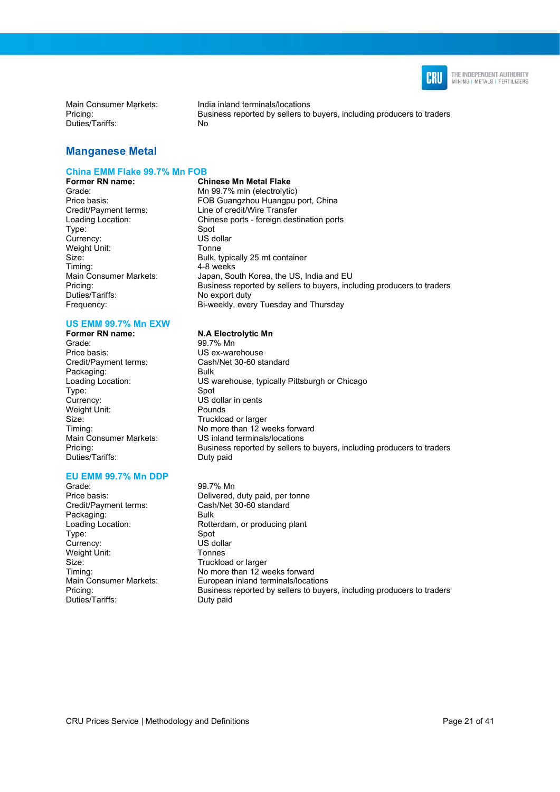

Duties/Tariffs: No

Main Consumer Markets: India inland terminals/locations<br>Pricing: India inland terminals/locations<br>Business reported by sellers to Business reported by sellers to buyers, including producers to traders

### Manganese Metal

#### China EMM Flake 99.7% Mn FOB

Type: Spot<br>Currency: Spot US dollar Currency: Weight Unit: Tonne Duties/Tariffs: No export duty Frequency: Bi-weekly, every Tuesday and Thursday

## US EMM 99.7% Mn EXW<br>Former RN name:

Grade: 99.7% Mn Price basis: US ex-warehouse Credit/Payment terms: Cash/Net 30-60 standard Packaging: Bulk<br>
Loading Location: COS w Type: Currency: US dollar in cents Weight Unit: Pounds Size: Truckload or larger<br>Timina: Timina: Timina: The South Momore than 12 w Duties/Tariffs:

#### EU EMM 99.7% Mn DDP

Grade: 99.7% Mn Packaging: Bulk Type: Spot Currency: US dollar<br>
Weight Unit: Tonnes Weight Unit: Size: Truckload or larger<br>Timing: Timing: No more than 12 w Duties/Tariffs: Duty paid

**Former RN name:** Chinese Mn Metal Flake<br>Grade: Chinese Mn 99.7% min (electrolytic) Grade: Carabonal Mn 99.7% min (electrolytic)<br>
Price basis: Carabonal FOB Guangzhou Huangpu FOB Guangzhou Huangpu port, China Credit/Payment terms: Line of credit/Wire Transfer Loading Location: Chinese ports - foreign destination ports Size: Bulk, typically 25 mt container<br>Timing: Timing: 4-8 weeks 4-8 weeks Main Consumer Markets: Japan, South Korea, the US, India and EU<br>Pricina: Business reported by sellers to buyers, inc Business reported by sellers to buyers, including producers to traders

#### **N.A Electrolytic Mn**

US warehouse, typically Pittsburgh or Chicago<br>Spot Timing: Timing: No more than 12 weeks forward<br>Main Consumer Markets: US inland terminals/locations US inland terminals/locations Pricing: Business reported by sellers to buyers, including producers to traders<br>Duties/Tariffs: Duty paid

Price basis: Delivered, duty paid, per tonne<br>
Credit/Payment terms: Cash/Net 30-60 standard Cash/Net 30-60 standard Loading Location: Rotterdam, or producing plant Timing: Timing: No more than 12 weeks forward<br>
Main Consumer Markets: European inland terminals/locating European inland terminals/locations Pricing: Business reported by sellers to buyers, including producers to traders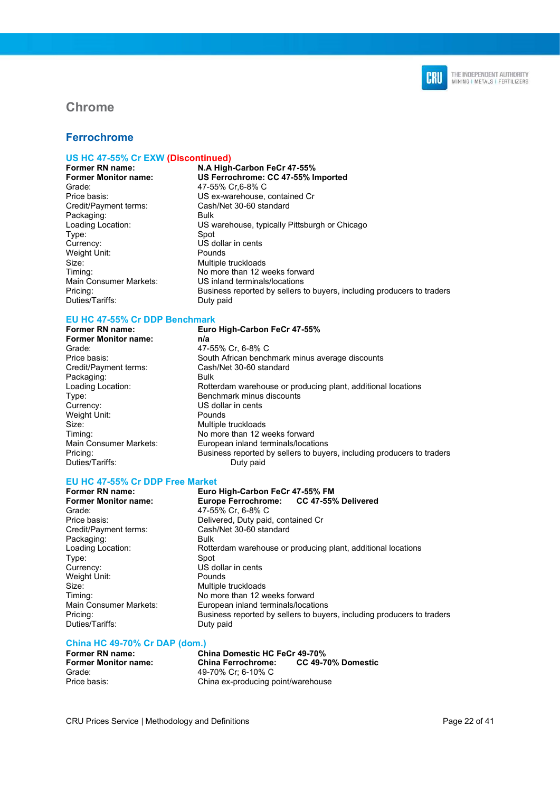

### Chrome

### Ferrochrome

## US HC 47-55% Cr EXW (Discontinued)

Grade: 47-55% Cr,6-8% C Credit/Payment terms: Cash/Net 30-60 standard Packaging: Type: Spot<br>Currency: Spot<br>US d Weight Unit: Pounds Size: Multiple truckloads Duties/Tariffs: Duty paid

N.A High-Carbon FeCr 47-55% Former Monitor name: US Ferrochrome: CC 47-55% Imported Price basis: US ex-warehouse, contained Cr Loading Location: US warehouse, typically Pittsburgh or Chicago  $U\dot{S}$  dollar in cents Timing: Timing: No more than 12 weeks forward<br>
Main Consumer Markets: US inland terminals/locations Main Consumer Markets: US inland terminals/locations<br>Pricing: Business reported by sellers Business reported by sellers to buyers, including producers to traders

#### EU HC 47-55% Cr DDP Benchmark

Former RN name: Euro High-Carbon FeCr 47-55% Former Monitor name: n/a Grade: 47-55% Cr, 6-8% C Packaging: Bulk<br>
Loading Location: Rott Currency: US dollar in cents Weight Unit: Pounds Size: Multiple truckloads<br>
Timina: Timina: No more than 12 w Duties/Tariffs: Duty paid

### Price basis:<br>
Couth African benchmark minus average discounts<br>
Cash/Net 30-60 standard Cash/Net 30-60 standard Rotterdam warehouse or producing plant, additional locations Type: Benchmark minus discounts No more than 12 weeks forward Main Consumer Markets: European inland terminals/locations Pricing: Business reported by sellers to buyers, including producers to traders

## EU HC 47-55% Cr DDP Free Market

### Grade: 47-55% Cr, 6-8% C<br>Price basis: Cass Contract Delivered, Duty paid Credit/Payment terms: Cash/Net 30-60 standard Packaging: Type: Spot Currency: US dollar in cents<br>
Weight Unit: The Pounds<br>
Pounds Weight Unit: Size: Multiple truckloads Timing: Timing: No more than 12 weeks forward<br>
Main Consumer Markets: European inland terminals/locating Duties/Tariffs: Duty paid

Euro High-Carbon FeCr 47-55% FM Former Monitor name: Europe Ferrochrome: CC 47-55% Delivered Delivered, Duty paid, contained Cr Loading Location: Rotterdam warehouse or producing plant, additional locations Furopean inland terminals/locations Pricing: Business reported by sellers to buyers, including producers to traders

## China HC 49-70% Cr DAP (dom.)

Former Monitor name: China Ferrochrome: Grade: 49-70% Cr; 6-10% C

China Domestic HC FeCr 49-70%<br>China Ferrochrome: CC 49-70% Domestic Price basis: China ex-producing point/warehouse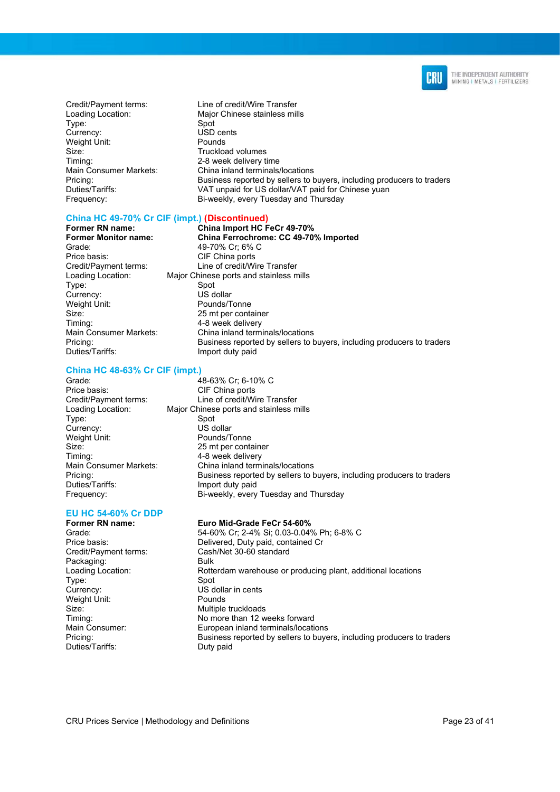

- Credit/Payment terms: Line of credit/Wire Transfer Type: Spot<br>Currency: Spot Susp Weight Unit: Pounds Size: Size: Truckload volumes Timing: 2-8 week delivery time
- Loading Location: Major Chinese stainless mills USD cents Main Consumer Markets: China inland terminals/locations<br>Pricing: China inland terminals/locations<br> $\overline{\phantom{a}}$ Business reported by sellers to buyers, including producers to traders Duties/Tariffs: VAT unpaid for US dollar/VAT paid for Chinese yuan Frequency: Bi-weekly, every Tuesday and Thursday

#### China HC 49-70% Cr CIF (impt.) (Discontinued)

Former RN name: China Import HC FeCr 49-70%<br>Former Monitor name: China Ferrochrome: CC 49-70 Grade: 49-70% Cr; 6% C Price basis: CIF China ports Credit/Payment terms: Line of credit/Wire Transfer Loading Location: Major Chinese ports and stainless mills Type: Spot<br>Currency: Spot US dollar Currency:<br>Weight Unit: Size: 25 mt per container<br>Timina: 25 mt per container<br>4-8 week delivery Main Consumer Markets: China inland terminals/locations

#### China HC 48-63% Cr CIF (impt.)

Pricing: example in the Business reported by sellers to buyers, including producers to traders<br>Duties/Tariffs: example in the limport duty paid Import duty paid Grade: 48-63% Cr; 6-10% C Price basis: CIF China ports Credit/Payment terms: Line of credit/Wire Transfer<br>
Loading Location: Major Chinese ports and stainless m Major Chinese ports and stainless mills Type: Spot<br>Currency: Summer Summer Summer Section 10 Summer Section 10 Summer Section 10 Summer Section 10 Summer Section<br>Section 10 Summer Section 10 Summer Section 10 Summer Section 10 Summer Section 10 Summer Section 10 Pounds/Tonne Size: 25 mt per container<br>Timing: 25 mt per container<br>4-8 week delivery 4-8 week delivery Main Consumer Markets: China inland terminals/locations

China Ferrochrome: CC 49-70% Imported

Pounds/Tonne

4-8 week delivery

Pricing: Business reported by sellers to buyers, including producers to traders Duties/Tariffs: Import duty paid Frequency: Bi-weekly, every Tuesday and Thursday

### EU HC 54-60% Cr DDP

Currency:<br>Weight Unit:

Credit/Payment terms: Cash/Net 30-60 standard Packaging: Bulk Type: Spot Currency: US dollar in cents Weight Unit: Pounds Size: Multiple truckloads<br>
Timing: Timing: No more than 12 w Duties/Tariffs: Duty paid

#### Euro Mid-Grade FeCr 54-60%

Grade: 54-60% Cr; 2-4% Si; 0.03-0.04% Ph; 6-8% C<br>
Price basis: Delivered Duty paid contained Cr Delivered, Duty paid, contained Cr Loading Location: Rotterdam warehouse or producing plant, additional locations No more than 12 weeks forward Main Consumer: European inland terminals/locations Pricing: Business reported by sellers to buyers, including producers to traders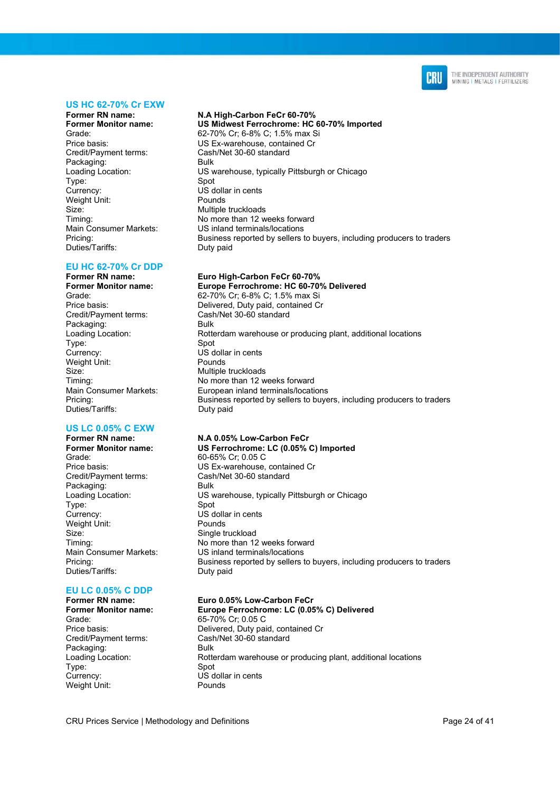

#### US HC 62-70% Cr EXW

Former RN name: N.A High-Carbon FeCr 60-70%<br>Former Monitor name: US Midwest Ferrochrome: HC Credit/Payment terms: Cash/Net 30-60 standard Packaging: Type: Spot<br>Currency: Spot<br>US d Weight Unit: Pounds Size: Multiple truckloads Duties/Tariffs: Duty paid

### EU HC 62-70% Cr DDP

Former RN name: Euro High-Carbon FeCr 60-70% Credit/Payment terms: Cash/Net 30-60 standard Packaging: Bulk Type: Spot Currency: US dollar in cents<br>
Weight Unit: The Pounds<br>
Pounds Weight Unit: Size: Multiple truckloads<br>
Timing: Timing: Timing: Timing: The Momore than 12 w Duties/Tariffs: Duty paid

## US LC 0.05% C EXW<br>Former RN name:

Grade: 60-65% Cr; 0.05 C Credit/Payment terms: Cash/Net 30-60 standard Packaging: Bulk Type: Spot Currency: US dollar in cents<br>
Weight Unit: The Pounds<br>
Pounds Weight Unit: Size: Single truckload Duties/Tariffs: Duty paid

### EU LC 0.05% C DDP<br>Former RN name:

Grade: 65-70% Cr; 0.05 C Credit/Payment terms: Cash/Net 30-60 standard Packaging: Type: Spot Currency: US dollar in cents<br>
Weight Unit: The Pounds<br>
Pounds Weight Unit:

US Midwest Ferrochrome: HC 60-70% Imported Grade: 62-70% Cr; 6-8% C; 1.5% max Si<br>Price basis: Entrance contained Cr US Ex-warehouse, contained Cr Loading Location: US warehouse, typically Pittsburgh or Chicago US dollar in cents Timing: No more than 12 weeks forward Main Consumer Markets: US inland terminals/locations<br>
Pricina: Business reported by sellers Business reported by sellers to buyers, including producers to traders

Former Monitor name: Europe Ferrochrome: HC 60-70% Delivered<br>Grade: 62-70% Cr: 6-8% C: 1.5% max Si 62-70% Cr; 6-8% C; 1.5% max Si Price basis: Delivered, Duty paid, contained Cr Loading Location: Rotterdam warehouse or producing plant, additional locations No more than 12 weeks forward Main Consumer Markets: European inland terminals/locations Pricing: Business reported by sellers to buyers, including producers to traders

#### Former RN name: N.A 0.05% Low-Carbon FeCr<br>Former Monitor name: US Ferrochrome: LC (0.05% US Ferrochrome: LC (0.05% C) Imported

Price basis: US Ex-warehouse, contained Cr Loading Location: US warehouse, typically Pittsburgh or Chicago Timing: No more than 12 weeks forward Main Consumer Markets: US inland terminals/locations<br>
Pricing: Business reported by sellers Business reported by sellers to buyers, including producers to traders

#### Euro 0.05% Low-Carbon FeCr

Former Monitor name: Europe Ferrochrome: LC (0.05% C) Delivered Price basis: **Delivered, Duty paid, contained Cr** Loading Location: Rotterdam warehouse or producing plant, additional locations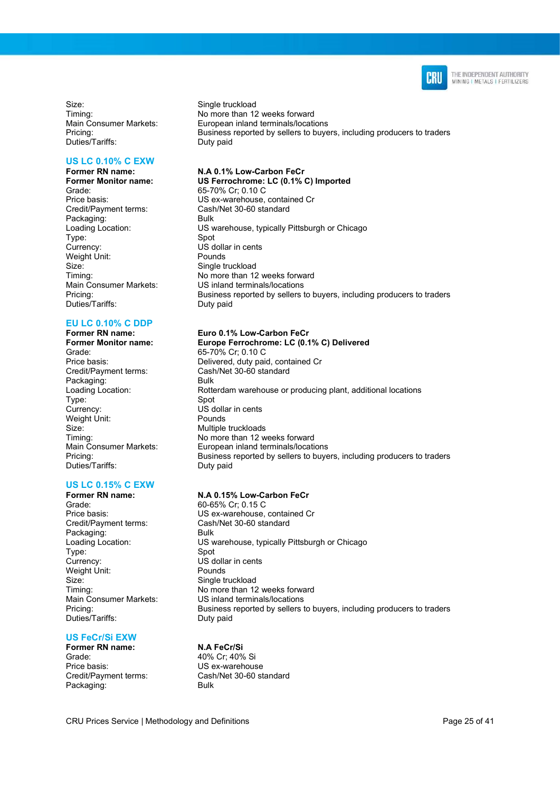

Size: Single truckload<br>Timing: Timing: Single truckload Duties/Tariffs: Duty paid

#### US LC 0.10% C EXW

Former RN name: N.A 0.1% Low-Carbon FeCr<br>Former Monitor name: US Ferrochrome: LC (0.1% 0 Grade: 65-70% Cr; 0.10 C<br>Price basis: 65-70% Cr; 0.10 C Credit/Payment terms: Cash/Net 30-60 standard Packaging: Bulk Type: Spot Currency: US dollar in cents Weight Unit: Pounds Size: Single truckload<br>
Timing: Single truckload<br>
No more than 12 Duties/Tariffs:

## EU LC 0.10% C DDP<br>Former RN name:

Grade: 65-70% Cr; 0.10 C Packaging: Bulk Type: Spot Weight Unit: Pounds Size: Multiple truckloads Duties/Tariffs: Duty paid

#### US LC 0.15% C EXW

Grade: 60-65% Cr; 0.15 C Packaging: Bulk Type: Spot Currency: US dollar in cents<br>
Weight Unit: The Pounds<br>
Pounds Weight Unit: Size: Single truckload Duties/Tariffs: Duty paid

#### US FeCr/Si EXW

Former RN name: N.A FeCr/Si Grade: 40% Cr; 40% Si Price basis: US ex-warehouse<br>Credit/Payment terms: Cash/Net 30-60 st Packaging: Bulk

No more than 12 weeks forward Main Consumer Markets: European inland terminals/locations<br>Pricina: European inland terminals/locations<br>Business reported by sellers to buye Business reported by sellers to buyers, including producers to traders

Former Monitor name: US Ferrochrome: LC (0.1% C) Imported<br>Grade: 65-70% Cr: 0.10 C US ex-warehouse, contained Cr Loading Location: US warehouse, typically Pittsburgh or Chicago Timing: Timing: No more than 12 weeks forward<br>Main Consumer Markets: US inland terminals/locations US inland terminals/locations Pricing: Europe Business reported by sellers to buyers, including producers to traders<br>Duties/Tariffs: Duty paid

#### Euro 0.1% Low-Carbon FeCr

Former Monitor name: Europe Ferrochrome: LC (0.1% C) Delivered Price basis: Delivered, duty paid, contained Cr<br>
Credit/Payment terms: Cash/Net 30-60 standard Cash/Net 30-60 standard Loading Location: Rotterdam warehouse or producing plant, additional locations US dollar in cents Timing: Timing: No more than 12 weeks forward<br>Main Consumer Markets: European inland terminals/locating Main Consumer Markets: European inland terminals/locations<br>Pricing: European inland terminals/locations<br>Business reported by sellers to buye Business reported by sellers to buyers, including producers to traders

#### Former RN name: N.A 0.15% Low-Carbon FeCr

Price basis: US ex-warehouse, contained Cr<br>Credit/Payment terms: Cash/Net 30-60 standard Cash/Net 30-60 standard Loading Location: US warehouse, typically Pittsburgh or Chicago Timing: No more than 12 weeks forward Main Consumer Markets: US inland terminals/locations Pricing: Business reported by sellers to buyers, including producers to traders

Cash/Net 30-60 standard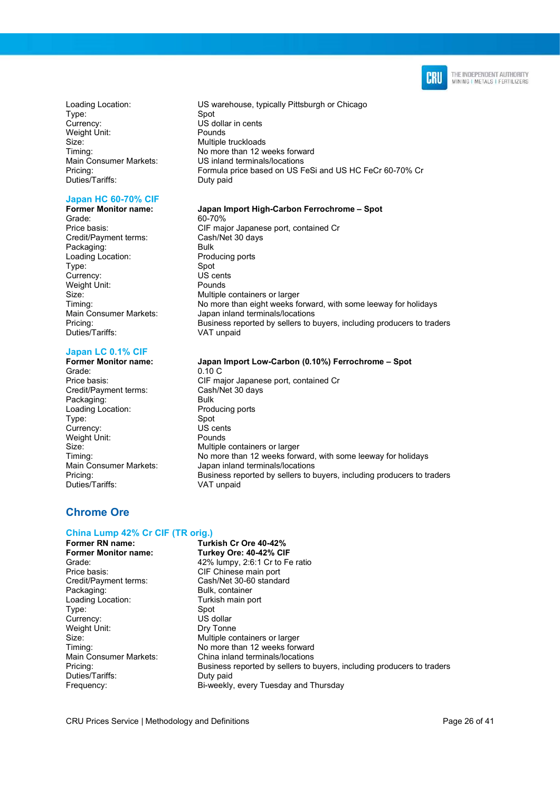

Type: Spot Currency: US dollar in cents<br>
Weight Unit: The Pounds<br>
Pounds Weight Unit: Size: Multiple truckloads Duties/Tariffs: Duty paid

#### Japan HC 60-70% CIF

Grade: 60-70% Credit/Payment terms: Packaging: Bulk Loading Location: Producing ports Type: Spot Currency: US cents<br>
Weight Unit: Pounds Weight Unit: Duties/Tariffs: VAT unpaid

#### Japan LC 0.1% CIF

Grade: 0.10 C Credit/Payment terms: Cash/Net 30 days Packaging: Bulk<br>
Loading Location: Producing ports Loading Location: Type: Spot<br>Currency: Spot Surrency: Spot Surrency: Currency: US cent<br>
Weight Unit: Pounds Weight Unit: Duties/Tariffs: VAT unpaid

Loading Location: US warehouse, typically Pittsburgh or Chicago Timing: No more than 12 weeks forward Main Consumer Markets: US inland terminals/locations Pricing: Formula price based on US FeSi and US HC FeCr 60-70% Cr

#### Former Monitor name: Japan Import High-Carbon Ferrochrome – Spot

Price basis: CIF major Japanese port, contained Cr<br>
Credit/Payment terms: Cash/Net 30 days Size: Size: Multiple containers or larger<br>Timing: Timing: No more than eight weeks for No more than eight weeks forward, with some leeway for holidays Main Consumer Markets: Japan inland terminals/locations<br>Pricina: Districts: Business reported by sellers to the Business reported by sellers to buyers, including producers to traders

#### Former Monitor name: Japan Import Low-Carbon (0.10%) Ferrochrome – Spot

Price basis: CIF major Japanese port, contained Cr Size: Multiple containers or larger<br>Timing: Timing: No more than 12 weeks forw No more than 12 weeks forward, with some leeway for holidays Main Consumer Markets: Japan inland terminals/locations Pricing: Business reported by sellers to buyers, including producers to traders

### Chrome Ore

## China Lump 42% Cr CIF (TR orig.)

Former RN name: Turkish Cr Ore 40-42%<br>Former Monitor name: Turkey Ore: 40-42% Cli Turkey Ore: 40-42% CIF Grade: 42% lumpy, 2:6:1 Cr to Fe ratio Price basis: CIF Chinese main port<br>Credit/Payment terms: Cash/Net 30-60 standa Cash/Net 30-60 standard Packaging: Bulk, container Loading Location: Turkish main port Type: Spot Currency: US dollar Weight Unit: Dry Tonne Size: Size: **Multiple containers or larger** Timing: No more than 12 weeks forward Main Consumer Markets: China inland terminals/locations<br>
Pricina: China inland terminals/locations<br>
Dusiness reported by sellers to the Business reported by sellers to the Business Business reported by sellers to buyers, including producers to traders<br>Duty paid Duties/Tariffs: Frequency: Bi-weekly, every Tuesday and Thursday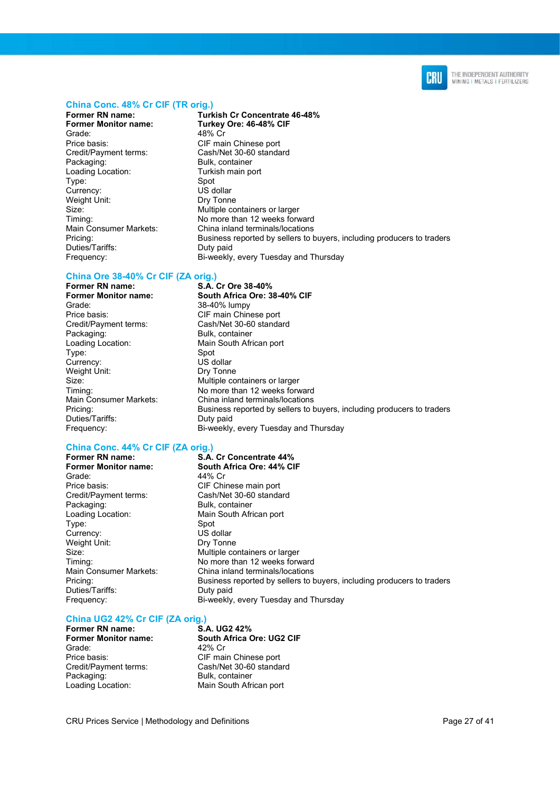

#### China Conc. 48% Cr CIF (TR orig.)

Grade: 48% Cr<br>Price basis: CIF ma Credit/Payment terms: Cash/Net 30-60 standard Loading Location: Turkish main port Type: Spot<br>Currency: Spot Surrency: Currency: Weight Unit: Dry Tonne Duties/Tariffs: Duty paid<br>
Frequency: Si-weekly

Former RN name: Turkish Cr Concentrate 46-48%<br>
Former Monitor name: Turkey Ore: 46-48% CIF Turkey Ore: 46-48% CIF CIF main Chinese port Bulk, container Size: Multiple containers or larger Timing: No more than 12 weeks forward Main Consumer Markets: China inland terminals/locations<br>Pricina: China inland terminals/locations<br> $\overline{C}$ Business reported by sellers to buyers, including producers to traders Bi-weekly, every Tuesday and Thursday

### China Ore 38-40% Cr CIF (ZA orig.)

Former RN name: S.A. Cr Ore 38-40%<br>Former Monitor name: South Africa Ore: 3 Grade: 38-40% lumpy<br>Price basis: CIF main Chine Credit/Payment terms: Cash/Net 30-60 standard Loading Location: Main South African port Type: Spot<br>Currency: Summer Summer Summer Section<br>The Section of Summer Summer Section 1999 Currency: Weight Unit: Dry Tonne Size: **Multiple containers or larger** Duties/Tariffs: Duty paid

## South Africa Ore: 38-40% CIF CIF main Chinese port Bulk, container Timing: Timing: No more than 12 weeks forward<br>Main Consumer Markets: China inland terminals/locations Main Consumer Markets: China inland terminals/locations<br>Pricing: China inland terminals/locations<br>Rusiness reported by sellers to t Business reported by sellers to buyers, including producers to traders Frequency: Bi-weekly, every Tuesday and Thursday

## China Conc. 44% Cr CIF (ZA orig.)

Grade: 44% Cr Price basis: CIF Chinese main port Credit/Payment terms: Cash/Net 30-60 standard Loading Location: Main South African port Type: Spot<br>Currency: Spot US dollar Currency: Weight Unit: Dry Tonne Duties/Tariffs: Duty paid

S.A. Cr Concentrate 44%

Former Monitor name: South Africa Ore: 44% CIF Bulk, container Size: **Multiple containers or larger** Timing: Timing: No more than 12 weeks forward<br>
Main Consumer Markets: China inland terminals/locations China inland terminals/locations Pricing: Business reported by sellers to buyers, including producers to traders Frequency: Bi-weekly, every Tuesday and Thursday

#### China UG2 42% Cr CIF (ZA orig.)

Former RN name: S.A. UG2 42% Price basis: CIF main Chinese port<br>Credit/Payment terms: Cash/Net 30-60 standa Packaging: Bulk, container Loading Location: Main South African port

Former Monitor name: South Africa Ore: UG2 CIF<br>  $\frac{12\% \text{ Cr}}{42\% \text{ Cr}}$ 42% Cr Cash/Net 30-60 standard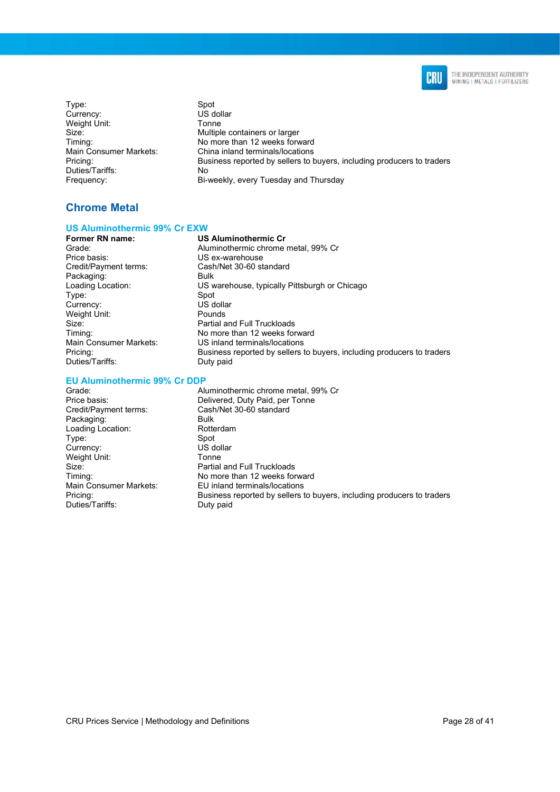

Type: Spot<br>Currency: Spot Surrency: Currency: Weight Unit: Tonne Duties/Tariffs: No<br>
Frequency: Bi-v

Multiple containers or larger Timing: Timing: No more than 12 weeks forward<br>
Main Consumer Markets: China inland terminals/locations Main Consumer Markets: China inland terminals/locations<br>Pricing: China inland terminals/locations<br>Business reported by sellers to b Business reported by sellers to buyers, including producers to traders Bi-weekly, every Tuesday and Thursday

### Chrome Metal

## US Aluminothermic 99% Cr EXW

#### US Aluminothermic Cr

Price basis: US ex-warehouse<br>Credit/Payment terms: Cash/Net 30-60 st Packaging: Bulk<br>
Loading Location: US w Type: Spot<br>Currency: Spot US dollar Currency: US dollar<br>
US dollar<br>
Weight Unit: Pounds Weight Unit: Duties/Tariffs: Duty paid

Grade: Aluminothermic chrome metal, 99% Cr Cash/Net 30-60 standard US warehouse, typically Pittsburgh or Chicago Size: Partial and Full Truckloads<br>Timing: No more than 12 weeks for No more than 12 weeks forward Main Consumer Markets: US inland terminals/locations Pricing: Business reported by sellers to buyers, including producers to traders

#### EU Aluminothermic 99% Cr DDP

| Grade:                 | Aluminothermic chrome metal, 99% Cr                                    |
|------------------------|------------------------------------------------------------------------|
| Price basis:           | Delivered, Duty Paid, per Tonne                                        |
| Credit/Payment terms:  | Cash/Net 30-60 standard                                                |
| Packaging:             | <b>Bulk</b>                                                            |
| Loading Location:      | Rotterdam                                                              |
| Type:                  | Spot                                                                   |
| Currency:              | US dollar                                                              |
| Weight Unit:           | Tonne                                                                  |
| Size:                  | Partial and Full Truckloads                                            |
| Timing:                | No more than 12 weeks forward                                          |
| Main Consumer Markets: | EU inland terminals/locations                                          |
| Pricing:               | Business reported by sellers to buyers, including producers to traders |
| Duties/Tariffs:        | Duty paid                                                              |
|                        |                                                                        |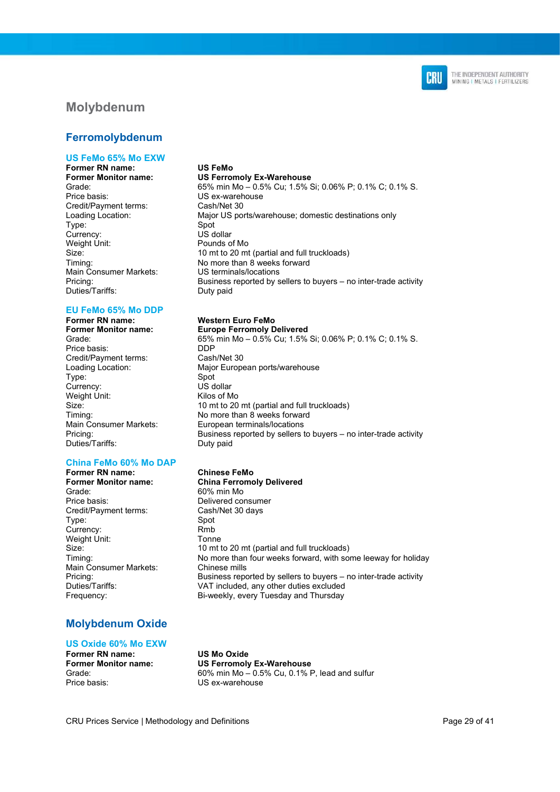

### Molybdenum

### Ferromolybdenum

#### US FeMo 65% Mo EXW

Former RN name: US FeMo Former Monitor name: US Ferromoly Ex-Warehouse Price basis: US ex-warehouse Credit/Payment terms: Cash/Net 30 Type: Spot<br>Currency: Spot US dollar Currency: US dollar<br>
Weight Unit: The Pounds of Mo Weight Unit: Main Consumer Markets: US terminals/locations Duties/Tariffs: Duty paid

## EU FeMo 65% Mo DDP

Price basis: DDP Credit/Payment terms: Cash/Net 30<br>
Loading Location: Major Europe Type: Spot<br>Currency: Spot US dollar Currency: US dollar<br>
Weight Unit: 
Weight Unit:<br>
Weight Unit: Weight Unit: Duties/Tariffs: Duty paid

### China FeMo 60% Mo DAP

Former Monitor name: China Ferromoly Delivered Grade: 60% min Mo Price basis: Delivered consumer<br>
Credit/Payment terms: Cash/Net 30 days Credit/Payment terms: Cash<br>Type: 30 Spot Type: Currency: Rmb<br>
Weight Unit: Tonne Weight Unit: Main Consumer Markets: Chinese mills

### Molybdenum Oxide

#### US Oxide 60% Mo EXW

Former RN name: US Mo Oxide Price basis: US ex-warehouse

Grade: 65% min Mo – 0.5% Cu; 1.5% Si; 0.06% P; 0.1% C; 0.1% S. Loading Location: Major US ports/warehouse; domestic destinations only Size: 10 mt to 20 mt (partial and full truckloads) Timing: No more than 8 weeks forward Pricing: Business reported by sellers to buyers – no inter-trade activity

#### **Western Euro FeMo**

Former Monitor name: Europe Ferromoly Delivered Grade: 65% min Mo – 0.5% Cu; 1.5% Si; 0.06% P; 0.1% C; 0.1% S. Major European ports/warehouse Size: 10 mt to 20 mt (partial and full truckloads)<br>Timing: Timing: 10 more than 8 weeks forward No more than 8 weeks forward Main Consumer Markets: European terminals/locations<br>Pricina: European terminals/locations<br>Business reported by sellers t Business reported by sellers to buyers – no inter-trade activity

#### Former RN name: Chinese FeMo

Size: 10 mt to 20 mt (partial and full truckloads) Timing: No more than four weeks forward, with some leeway for holiday Pricing: Eventy Business reported by sellers to buyers – no inter-trade activity<br>Duties/Tariffs: VAT included. any other duties excluded VAT included, any other duties excluded Frequency: Bi-weekly, every Tuesday and Thursday

Former Monitor name: US Ferromoly Ex-Warehouse<br>Grade: 60% min Mo - 0.5% Cu, 0.1% F  $60\%$  min Mo  $-$  0.5% Cu, 0.1% P, lead and sulfur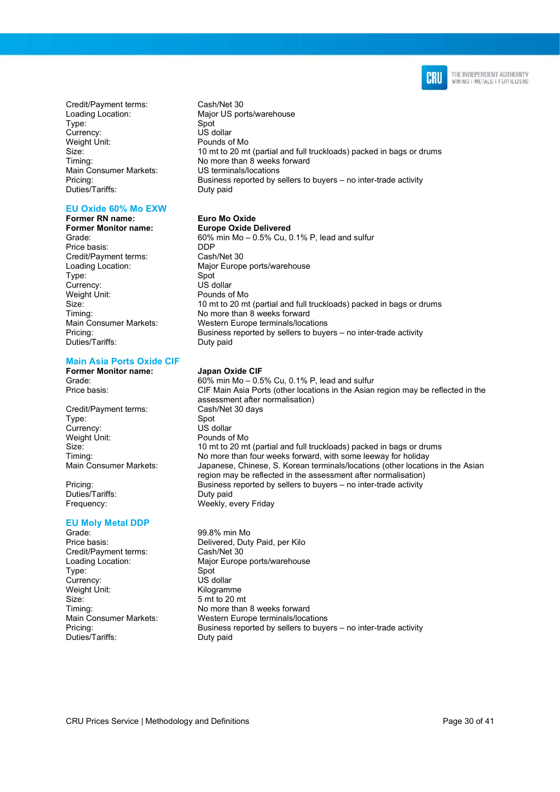

Credit/Payment terms: Cash/Net 30 Type: Spot<br>Currency: Spot Summer Spot Currency: Weight Unit: Pounds of Mo Main Consumer Markets: US terminals/locations<br>
Pricing: Business reported by s Duties/Tariffs: Duty paid

#### EU Oxide 60% Mo EXW

Former RN name: Euro Mo Oxide Former Monitor name: Europe Oxide Delivered Price basis: DDP Credit/Payment terms: Cash/Net 30 Type: Spot<br>Currency: Spot US dollar Currency: Weight Unit: Pounds of Mo<br>Size: 10 mt to 20 mt Duties/Tariffs: Duty paid

#### Main Asia Ports Oxide CIF

Credit/Payment terms: Type: Spot<br>Currency: Spot Surrency: Currency:<br>Weight Unit:

Duties/Tariffs: Duty paid

#### EU Moly Metal DDP

Grade: 99.8% min Mo<br>Price basis: Delivered Dut Credit/Payment terms: Cash/Net 30 Type: Spot Currency: US dollar<br>
Weight Unit: 
US dollar<br>
Kilogramı Size: 5 mt to 20 mt Duties/Tariffs: Duty paid

Loading Location: Major US ports/warehouse Size: 10 mt to 20 mt (partial and full truckloads) packed in bags or drums Timing: Timing: No more than 8 weeks forward Business reported by sellers to buyers – no inter-trade activity

Grade: 60% min Mo – 0.5% Cu, 0.1% P, lead and sulfur Loading Location: Major Europe ports/warehouse 10 mt to 20 mt (partial and full truckloads) packed in bags or drums Timing: No more than 8 weeks forward Main Consumer Markets: Western Europe terminals/locations Pricing: Business reported by sellers to buyers – no inter-trade activity

#### Former Monitor name: Japan Oxide CIF

Grade: 60% min Mo – 0.5% Cu, 0.1% P, lead and sulfur Price basis: CIF Main Asia Ports (other locations in the Asian region may be reflected in the assessment after normalisation) Pounds of Mo Size: 10 mt to 20 mt (partial and full truckloads) packed in bags or drums<br>Timing: 10 Mo more than four weeks forward, with some leeway for holiday No more than four weeks forward, with some leeway for holiday Main Consumer Markets: Japanese, Chinese, S. Korean terminals/locations (other locations in the Asian region may be reflected in the assessment after normalisation) Pricing: Business reported by sellers to buyers – no inter-trade activity Frequency: Weekly, every Friday

Delivered, Duty Paid, per Kilo Loading Location: Major Europe ports/warehouse Kilogramme Timing: Timing: No more than 8 weeks forward Main Consumer Markets: Western Europe terminals/locations Pricing: Business reported by sellers to buyers – no inter-trade activity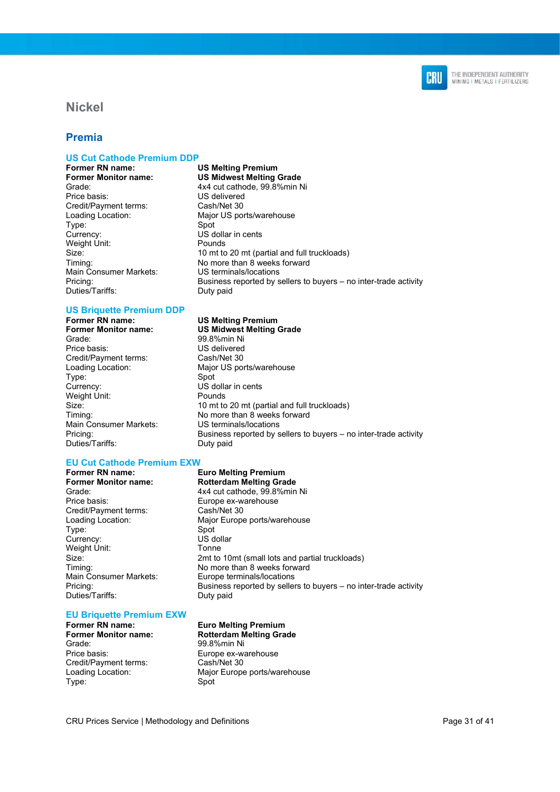

### Nickel

### Premia

## US Cut Cathode Premium DDP<br>Former RN name:

Price basis: US delivered Credit/Payment terms: Cash/Net 30 Type: Spot Currency: US dollar in cents<br>
Weight Unit: The Pounds<br>
Pounds Weight Unit: Main Consumer Markets: Duties/Tariffs: Duty paid

## US Briquette Premium DDP<br>Former RN name:

Grade: 99.8%min Ni Price basis: US delivered Credit/Payment terms: Cash/Net 30<br>
Loading Location: Major US po Type: Spot<br>Currencv: US d Weight Unit: Main Consumer Markets: US terminals/locations<br>
Pricina: Business reported by s Duties/Tariffs: Duty paid

#### EU Cut Cathode Premium EXW

### Former Monitor name: Rotterdam Melting Grade Grade: Grade: 4x4 cut cathode, 99.8%min Ni

Price basis: Europe ex-warehouse<br>Credit/Payment terms: Cash/Net 30 Credit/Payment terms:<br>Loading Location: Type: Spot<br>Currency: Spot US dollar Currency: Weight Unit: Tonne Main Consumer Markets: Europe terminals/locations Duties/Tariffs: Duty paid

### EU Briquette Premium EXW

Grade: 99.8%min Ni Price basis: Europe ex-warehouse<br>Credit/Payment terms: Cash/Net 30 Credit/Payment terms: Type: Spot

## **US Melting Premium** Former Monitor name: US Midwest Melting Grade Grade: 4x4 cut cathode, 99.8%min Ni Loading Location: Major US ports/warehouse Size: 10 mt to 20 mt (partial and full truckloads) Timing:  $\frac{N}{2}$  No more than 8 weeks forward<br>
Main Consumer Markets: US terminals/locations Pricing: Business reported by sellers to buyers – no inter-trade activity

#### US Melting Premium

Former Monitor name: US Midwest Melting Grade Major US ports/warehouse US dollar in cents<br>Pounds Size: 10 mt to 20 mt (partial and full truckloads)<br>Timing: Timing: 10 more than 8 weeks forward No more than 8 weeks forward Business reported by sellers to buyers – no inter-trade activity

### Former RN name: Euro Melting Premium

Major Europe ports/warehouse Size: 2mt to 10mt (small lots and partial truckloads) Timing: Timing: No more than 8 weeks forward Pricing: Business reported by sellers to buyers – no inter-trade activity

#### Former RN name: Euro Melting Premium<br>Former Monitor name: Former Rotterdam Melting Gra Rotterdam Melting Grade

Loading Location: Major Europe ports/warehouse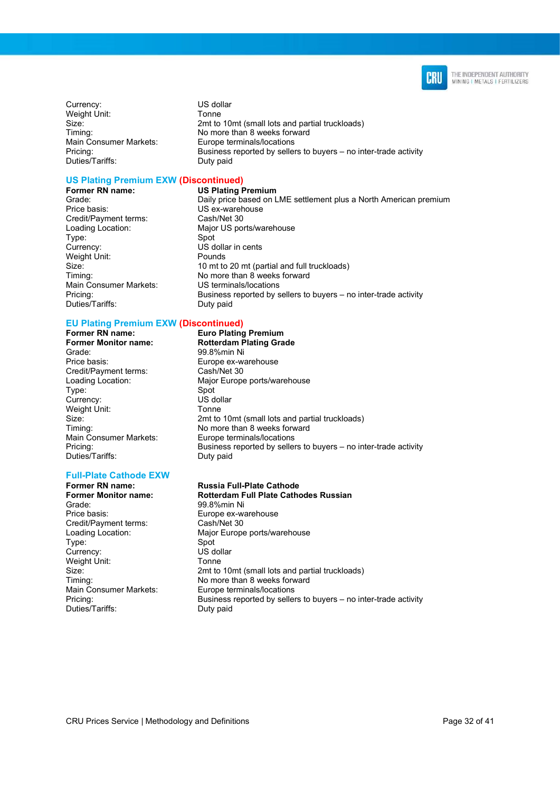

Currency: US dollar Weight Unit: Tonne Duties/Tariffs: Duty paid

Size: 2mt to 10mt (small lots and partial truckloads)<br>2mt to 10mt (small lots and partial truckloads) No more than 8 weeks forward Main Consumer Markets: Europe terminals/locations Pricing: Business reported by sellers to buyers – no inter-trade activity

## US Plating Premium EXW (Discontinued)

Price basis: US ex-warehouse Credit/Payment terms: Cash/Net 30 Type: Spot Currency: US dollar in cents Weight Unit: Pounds Main Consumer Markets: Duties/Tariffs:

**Former RN name:** US Plating Premium<br>Grade: Daily price based on L Daily price based on LME settlement plus a North American premium Loading Location: Major US ports/warehouse Size: 10 mt to 20 mt (partial and full truckloads)<br>Timing: Timing: 10 more than 8 weeks forward No more than 8 weeks forward<br>US terminals/locations Pricing: Business reported by sellers to buyers – no inter-trade activity<br>Duties/Tariffs: Duty paid

## EU Plating Premium EXW (Discontinued)

#### Former RN name: Euro Plating Premium Former Monitor name: Rotterdam Plating Grade Grade: 99.8%min Ni Price basis: Europe ex-warehouse<br>
Credit/Payment terms: Cash/Net 30 Credit/Payment terms: Loading Location: Major Europe ports/warehouse Type: Spot Currency: US dol<br>
Weight Unit: Tonne Weight Unit: Size: 2mt to 10mt (small lots and partial truckloads)<br>
Timing: 2001 Timing: Timing: No more than 8 weeks forward<br>
Main Consumer Markets: Europe terminals/locations Main Consumer Markets: Europe terminals/locations<br>Pricing: Eusiness reported by selle Duties/Tariffs:

#### Full-Plate Cathode EXW

Former RN name: Russia Full-Plate Cathode<br>
Former Monitor name: Rotterdam Full Plate Catho Grade: 99.8%min Ni Price basis: Europe ex-warehouse<br>
Credit/Payment terms: Cash/Net 30 Credit/Payment terms: Type: Spot Currency: Weight Unit: Tonne Duties/Tariffs: Duty paid

Rotterdam Full Plate Cathodes Russian Loading Location: Major Europe ports/warehouse Size: 2mt to 10mt (small lots and partial truckloads) Timing:  $\frac{N}{2}$  No more than 8 weeks forward<br>
Main Consumer Markets: Europe terminals/locations Europe terminals/locations Pricing: Business reported by sellers to buyers – no inter-trade activity

Business reported by sellers to buyers – no inter-trade activity<br>Duty paid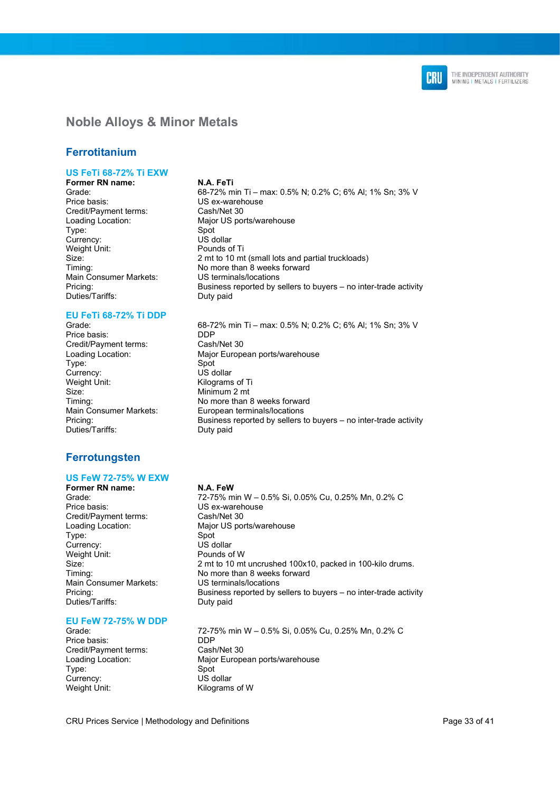

### Noble Alloys & Minor Metals

### Ferrotitanium

### US FeTi 68-72% Ti EXW

Former RN name: N.A. FeTi Credit/Payment terms: Type: Currency: US dollar Weight Unit: Pounds of Ti Main Consumer Markets: Duties/Tariffs:

## EU FeTi 68-72% Ti DDP

Price basis: DDP<br>Credit/Payment terms: Cash/Net 30 Credit/Payment terms:<br>Loading Location: Type: Currency: US dollar Weight Unit: Kilograms of Ti Size: Minimum 2 mt Duties/Tariffs: Duty paid

### Ferrotungsten

#### US FeW 72-75% W EXW

Price basis: US ex-warehouse<br>Credit/Payment terms: Cash/Net 30 Credit/Payment terms: Type: Spot<br>Currency: Spot US dollar Currency: Weight Unit: Pounds of W Main Consumer Markets:<br>Pricing: Duties/Tariffs:

#### EU FeW 72-75% W DDP

Price basis: DDP Credit/Payment terms: Cash/Net 30 Type: Spot Currency: US dollar<br>
Weight Unit: 
US dollar<br>
Kilograms

Grade: 68-72% min Ti – max: 0.5% N; 0.2% C; 6% Al; 1% Sn; 3% V<br>Price basis: CS ex-warehouse US ex-warehouse<br>Cash/Net 30 Loading Location: Major US ports/warehouse Size: 2 mt to 10 mt (small lots and partial truckloads) Timing:  $\frac{N}{2}$  No more than 8 weeks forward<br>
Main Consumer Markets: US terminals/locations Pricing: Business reported by sellers to buyers – no inter-trade activity<br>Duties/Tariffs: Duty paid

68-72% min Ti – max: 0.5% N; 0.2% C; 6% Al; 1% Sn; 3% V Major European ports/warehouse<br>Spot Timing: No more than 8 weeks forward Main Consumer Markets: European terminals/locations<br>Pricina: European terminals/locations<br>Business reported by sellers Business reported by sellers to buyers – no inter-trade activity

#### Former RN name: N.A. FeW

Grade: 72-75% min W – 0.5% Si, 0.05% Cu, 0.25% Mn, 0.2% C Loading Location: Major US ports/warehouse Size: 2 mt to 10 mt uncrushed 100x10, packed in 100-kilo drums. Timing:  $\frac{N}{2}$  No more than 8 weeks forward<br>
Main Consumer Markets: US terminals/locations Business reported by sellers to buyers – no inter-trade activity<br>Duty paid

Grade: 72-75% min W – 0.5% Si, 0.05% Cu, 0.25% Mn, 0.2% C Loading Location: Major European ports/warehouse Kilograms of W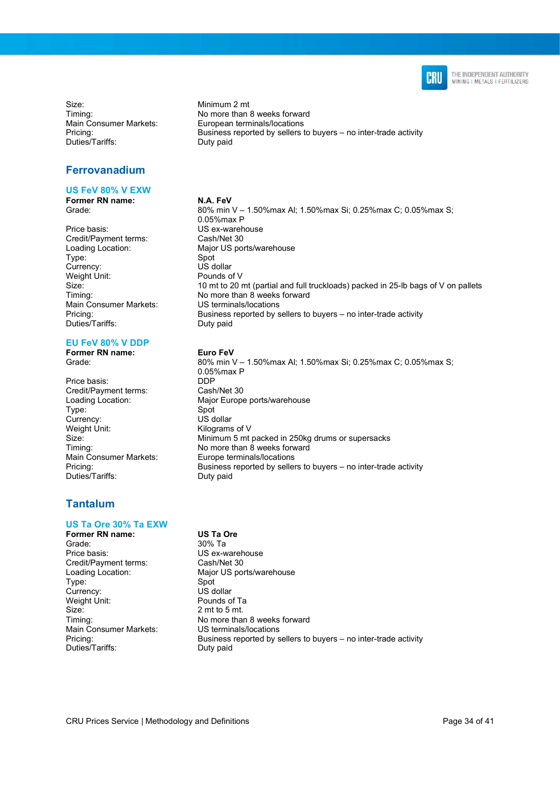

Size: Minimum 2 mt<br>Timing: Timing: No more than Duties/Tariffs: Duty paid

### Ferrovanadium

#### US FeV 80% V EXW

Former RN name: N.A. FeV

Price basis: US ex-warehouse<br>
Credit/Payment terms: Cash/Net 30 Credit/Payment terms: Type: Spot<br>Currency: Spot US dollar Currency: Weight Unit: Pounds of V<br>Size: 10 mt to 20 r Main Consumer Markets: Duties/Tariffs: Duty paid

#### EU FeV 80% V DDP

Former RN name: Euro FeV

Price basis: DDP<br>Credit/Pavment terms: Cash/Net 30 Credit/Payment terms: Type: Spot Currency: US dollar<br>
Weight Unit: 
Weight Unit: Weight Unit: Kilograms of V<br>Size: Kilograms of V Duties/Tariffs: Duty paid

### Tantalum

#### US Ta Ore 30% Ta EXW

Former RN name: US Ta Ore Grade: 30% Ta Price basis: US ex-warehouse<br>Credit/Payment terms: Cash/Net 30 Credit/Payment terms: Type: Spot<br>Currency: Spot US dollar Currency: US dollar<br>
Weight Unit: The Pounds of Ta Weight Unit: Size: 2 mt to 5 mt. Main Consumer Markets: US terminals/locations Duties/Tariffs: Duty paid

No more than 8 weeks forward Main Consumer Markets: European terminals/locations<br>Pricing: European terminals/locations<br>Business reported by sellers Business reported by sellers to buyers – no inter-trade activity

Grade: 80% min V – 1.50%max Al; 1.50%max Si; 0.25%max C; 0.05%max S; 0.05%max P Loading Location: Major US ports/warehouse 10 mt to 20 mt (partial and full truckloads) packed in 25-lb bags of V on pallets Timing:  $\frac{N}{2}$  No more than 8 weeks forward<br>
Main Consumer Markets: US terminals/locations Pricing: Business reported by sellers to buyers – no inter-trade activity

Grade: 80% min V – 1.50%max Al; 1.50%max Si; 0.25%max C; 0.05%max S; 0.05%max P Loading Location: Major Europe ports/warehouse Minimum 5 mt packed in 250kg drums or supersacks Timing: Timing: No more than 8 weeks forward<br>
Main Consumer Markets: Europe terminals/locations Europe terminals/locations Pricing: Business reported by sellers to buyers – no inter-trade activity

Loading Location: Major US ports/warehouse Timing: Timing: No more than 8 weeks forward Pricing: Business reported by sellers to buyers – no inter-trade activity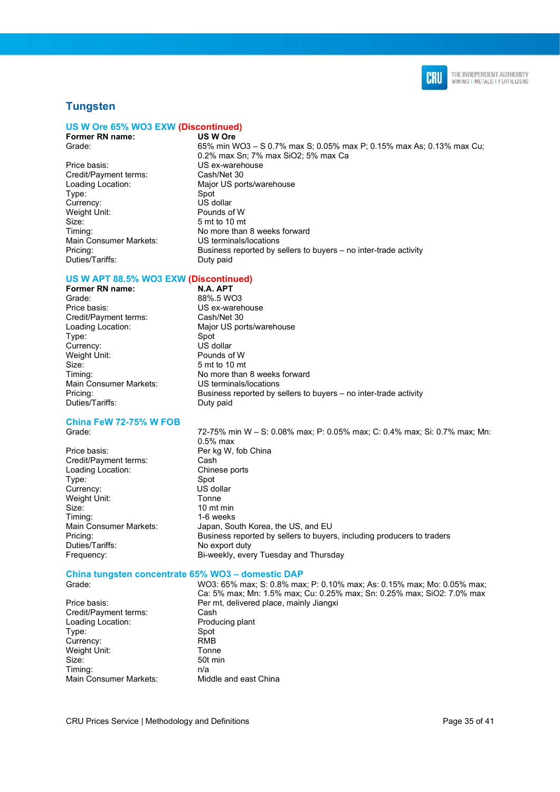

### **Tungsten**

#### US W Ore 65% WO3 EXW (Discontinued)

Former RN name: US W Ore

Price basis: US ex-warehouse Credit/Payment terms: Cash/Net 30 Type: Spot Currency: US dollar<br>
Weight Unit: Pounds of W Weight Unit: Size: 5 mt to 10 mt Main Consumer Markets: Duties/Tariffs: Duty paid

Grade: 65% min WO3 – S 0.7% max S; 0.05% max P; 0.15% max As; 0.13% max Cu; 0.2% max Sn; 7% max SiO2; 5% max Ca Loading Location: Major US ports/warehouse Timing:  $\frac{1}{2}$  No more than 8 weeks forward<br>Main Consumer Markets: US terminals/locations Pricing: Business reported by sellers to buyers – no inter-trade activity

#### US W APT 88.5% WO3 EXW (Discontinued)

88%.5 WO3

Size: 5 mt to 10 mt

**Former RN name: N.A. APT**<br>Grade: 88% 5 W Price basis: US ex-warehouse<br>Credit/Payment terms: Cash/Net 30 Credit/Payment terms: Loading Location: Major US ports/warehouse Type: Spot<br>Currency: Spot US dollar Currency: US dollar<br>
Weight Unit: The Pounds of W Weight Unit:<br>Size: Timing:  $\frac{1}{2}$  No more than 8 weeks forward<br>
Main Consumer Markets: US terminals/locations Main Consumer Markets: Pricing: Business reported by sellers to buyers – no inter-trade activity Duties/Tariffs: Duty paid

#### China FeW 72-75% W FOB

Price basis: Per kg W, fob China Credit/Payment terms: Cash<br>
Loading Location: Chinese ports Loading Location: Type: Spot Currency: Weight Unit: Tonne Size: 10 mt min<br>Timing: 1-6 weeks Duties/Tariffs: No export duty

Grade: 72-75% min W – S: 0.08% max; P: 0.05% max; C: 0.4% max; Si: 0.7% max; Mn: 0.5% max 1-6 weeks Main Consumer Markets: Japan, South Korea, the US, and EU Pricing: Business reported by sellers to buyers, including producers to traders Frequency: Bi-weekly, every Tuesday and Thursday

#### China tungsten concentrate 65% WO3 – domestic DAP

Credit/Payment terms: Cash<br>
Loading Location: Producing plant Loading Location: Type: Spot Currency: RMB Weight Unit: Tonne Size: 50t min Timing: n/a Main Consumer Markets: Middle and east China

Grade: WO3: 65% max; S: 0.8% max; P: 0.10% max; As: 0.15% max; Mo: 0.05% max; Ca: 5% max; Mn: 1.5% max; Cu: 0.25% max; Sn: 0.25% max; SiO2: 7.0% max Price basis: Price basis: Per mt, delivered place, mainly Jiangxi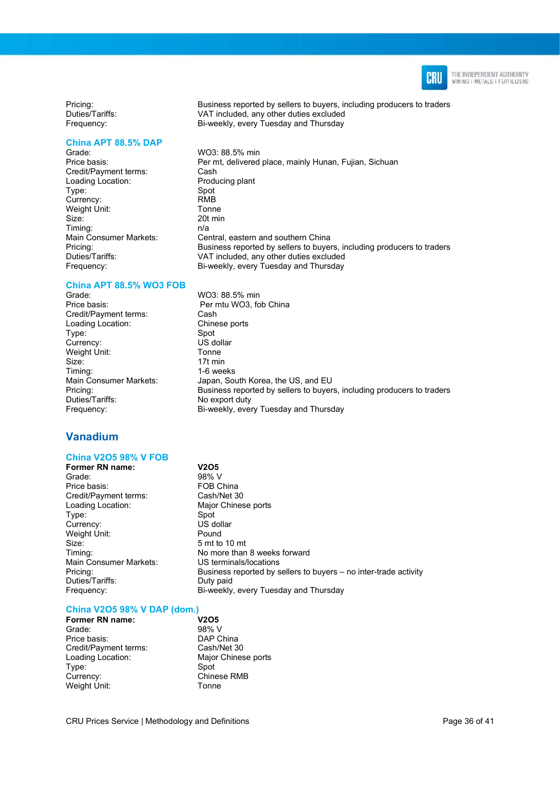

Pricing: Business reported by sellers to buyers, including producers to traders Duties/Tariffs: VAT included, any other duties excluded Frequency: Bi-weekly, every Tuesday and Thursday

#### China APT 88.5% DAP

Grade: WO3: 88.5% min<br>Price basis: Per mt delivered Credit/Payment terms: Cash Loading Location: Producing plant<br>
Type: Spot<br>
Spot Type: Spot<br>Currency: Spot<br>RMB Currency: Weight Unit: Tonne Size: 20t min Timing: n/a<br>Main Consumer Markets: Cer Pricing:<br>
Duties/Tariffs: Business reported by sellers to buyers, including producers to traders<br>
Duties/Tariffs: VAT included. any other duties excluded Frequency: Bi-weekly, every Tuesday and Thursday

#### China APT 88.5% WO3 FOB

Grade: WO3: 88.5% min<br>Price basis: Per mtu WO3: fo Credit/Payment terms: Cash<br>
Loading Location: Chinese ports Loading Location: Type: Spot Currency: US dollar<br>
Weight Unit: Company of Tonne Weight Unit: Size: 17t min Timing: 1-6 weeks Main Consumer Markets: Japan, South Korea, the US, and EU Pricing: Business reported by sellers to buyers, including producers to traders Duties/Tariffs: No export duty

### Vanadium

#### China V2O5 98% V FOB

Former RN name: V2O5 Grade: 98% V Price basis: The Solid China Price basis: The Solid China Price is a FOB China Credit/Payment terms: Cash/Net 30<br>
Loading Location: Major Chines Type: Spot<br>Currency: Spot US dollar Currency: US dol<br>
Weight Unit: Christian Media Weight Unit: Size: 5 mt to 10 mt<br>Timing: 5 mt to 10 mt Main Consumer Markets: US terminals/locations Duties/Tariffs: Duty paid Frequency: Bi-weekly, every Tuesday and Thursday

Major Chinese ports No more than 8 weeks forward Pricing: Business reported by sellers to buyers – no inter-trade activity

Per mt, delivered place, mainly Hunan, Fujian, Sichuan

Central, eastern and southern China

Per mtu WO3, fob China

VAT included, any other duties excluded

Bi-weekly, every Tuesday and Thursday

#### China V2O5 98% V DAP (dom.)

| Former RN name:       |   |
|-----------------------|---|
| Grade:                | ć |
| Price basis:          |   |
| Credit/Payment terms: |   |
| Loading Location:     | N |
| Type:                 | s |
| Currency:             |   |
| Weight Unit:          |   |

V2O5 98% V DAP China Cash/Net 30 Major Chinese ports Spot  $\dot{\rm C}$ hinese RMB -<br>Onne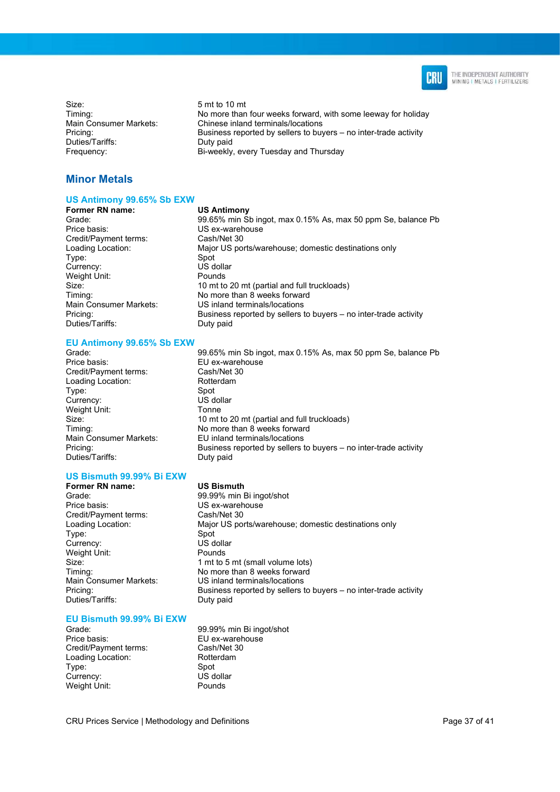

Size: 5 mt to 10 mt<br>Timing: 5 metro 10 mt No more than Main Consumer Markets: Chinese inland terminals/locations<br>Pricing: Chinese inland terminals/locations<br>Rusiness reported by sellers to buy Duties/Tariffs: Duty paid Frequency: Bi-weekly, every Tuesday and Thursday

### Minor Metals

#### US Antimony 99.65% Sb EXW

Former RN name: US Antimony Grade: 99.65% min Sb ingot, max 0.15% As, max 50 ppm Se, balance Pb Price basis: US ex-warehouse<br>
Credit/Payment terms: Cash/Net 30 Credit/Payment terms: Loading Location: Major US ports/warehouse; domestic destinations only Type: Spot<br>Currency: Spot US dollar Currency: Weight Unit: Pounds<br>Size: 10 mt to Timing: Timing: No more than 8 weeks forward<br>
Main Consumer Markets: US inland terminals/locations Pricing: Business reported by sellers to buyers – no inter-trade activity Duties/Tariffs: Duty paid

#### EU Antimony 99.65% Sb EXW

Grade: 99.65% min Sb ingot, max 0.15% As, max 50 ppm Se, balance Pb Price basis: EU ex-warehouse Credit/Payment terms: Cash/Net 30 Loading Location: Rotte<br>Type: Spot Type: Currency: US dollar Weight Unit: Tonne Duties/Tariffs:

# Size: 10 mt to 20 mt (partial and full truckloads)<br>Timina: 10 more than 8 weeks forward Timing: Timing: No more than 8 weeks forward<br>
Main Consumer Markets: EU inland terminals/locations **EU** inland terminals/locations Pricing: Business reported by sellers to buyers – no inter-trade activity<br>Duties/Tariffs: Duty paid

10 mt to 20 mt (partial and full truckloads)

US inland terminals/locations

No more than four weeks forward, with some leeway for holiday

Business reported by sellers to buyers – no inter-trade activity

#### US Bismuth 99.99% Bi EXW Former RN name: US Bismuth

Grade: 99.99% min Bi ingot/shot<br>Price basis: exercise US ex-warehouse Credit/Payment terms: Cash/Net 30 Type: Spot<br>Currency: Spot US dollar Currency: US dolla<br>
Weight Unit: Pounds Weight Unit: Duties/Tariffs: Duty paid

US ex-warehouse Loading Location: Major US ports/warehouse; domestic destinations only Size: 1 mt to 5 mt (small volume lots)<br>Timing: 1 Mo more than 8 weeks forward Timing: Timing: No more than 8 weeks forward<br>
Main Consumer Markets: US inland terminals/locations US inland terminals/locations Pricing: Business reported by sellers to buyers – no inter-trade activity

#### EU Bismuth 99.99% Bi EXW

Price basis: EU ex-warehouse<br>Credit/Payment terms: Cash/Net 30 Credit/Payment terms: Cash/Net 3<br>
Loading Location: Content Rotterdam Loading Location: Type: Spot<br>Currency: Spot US dollar Currency: Weight Unit: Pounds

Grade: 99.99% min Bi ingot/shot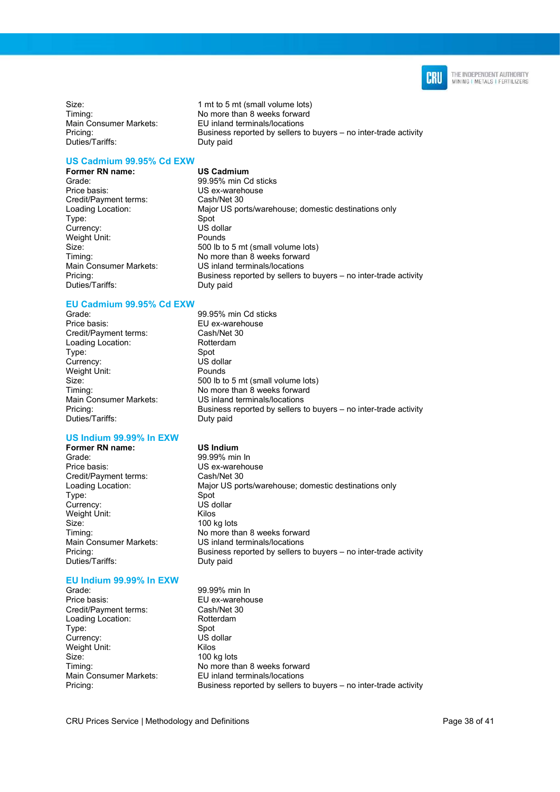

Size: 1 mt to 5 mt (small volume lots)<br>Timing: 1 million of the Normore than 8 weeks forward Main Consumer Markets: EU inland terminals/locations<br>Pricing: EU inland terminals/locations<br>Business reported by sellers t Duties/Tariffs: Duty paid

US Cadmium 99.95% Cd EXW

Former RN name: US Cadmium<br>Grade: 99.95% min C Grade: 99.95% min Cd sticks<br>
Price basis: Class Custom US ex-warehouse Credit/Payment terms: Type: Spot Currency: US dollar<br>
Weight Unit: 
US dollar<br>
Pounds Weight Unit: Duties/Tariffs:

## EU Cadmium 99.95% Cd EXW

Grade: 99.95% min Cd sticks<br>
Price basis: EU ex-warehouse Credit/Payment terms: Loading Location: Rotterdam Type: Spot Currency: US dollar<br>
Weight Unit: Pounds Weight Unit: Duties/Tariffs: Duty paid

#### US Indium 99.99% In EXW

**Former RN name:** US Indium<br>Grade: 99.99% min Price basis: US ex-warehouse Credit/Payment terms: Cash/Net 30 Type: Spot Currency: Weight Unit: Kilos<br>Size: 100 k Duties/Tariffs: Duty paid

### EU Indium 99.99% In EXW

Price basis: EU ex-warehouse Credit/Payment terms: Cash/Net 30<br>
Loading Location: Rotterdam Loading Location: Type: Spot Currency: US dollar Weight Unit: Kilos Size: 100 kg lots<br>Timing: 100 kg lots<br>No more th

No more than 8 weeks forward

US ex-warehouse<br>Cash/Net 30 Loading Location: Major US ports/warehouse; domestic destinations only Size: 500 lb to 5 mt (small volume lots) Timing: Timing: No more than 8 weeks forward Main Consumer Markets: US inland terminals/locations<br>
Pricina: Business reported by sellers t Business reported by sellers to buyers – no inter-trade activity<br>Duty paid

Business reported by sellers to buyers – no inter-trade activity

EU ex-warehouse<br>Cash/Net 30 Size: 500 lb to 5 mt (small volume lots) Timing: No more than 8 weeks forward Main Consumer Markets: US inland terminals/locations<br>Pricing: Business reported by sellers to Business reported by sellers to buyers – no inter-trade activity

- 99.99% min In Loading Location: Major US ports/warehouse; domestic destinations only  $100$  kg lots Timing: Timing: No more than 8 weeks forward<br>
Main Consumer Markets: US inland terminals/locations US inland terminals/locations Pricing: Business reported by sellers to buyers – no inter-trade activity
- Grade: 99.99% min In Timing: Timing: No more than 8 weeks forward<br>Main Consumer Markets: EU inland terminals/locations **EU** inland terminals/locations Pricing: Business reported by sellers to buyers – no inter-trade activity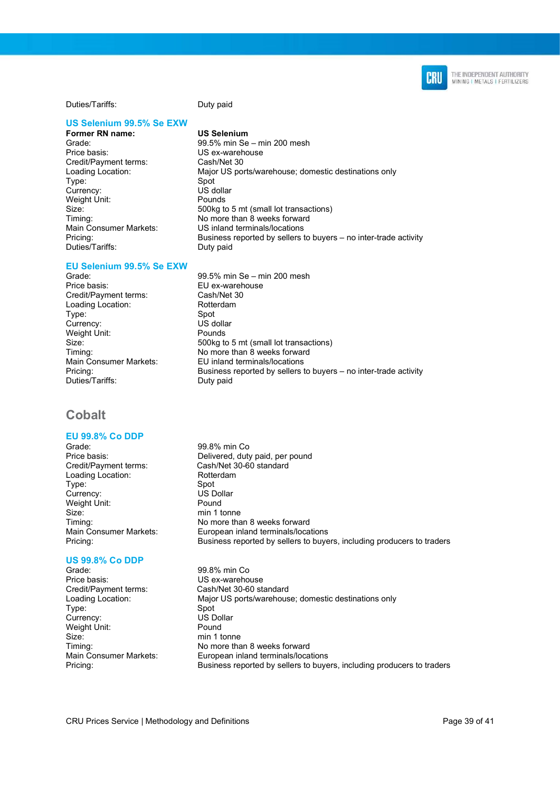Duties/Tariffs: Duty paid

#### US Selenium 99.5% Se EXW

Former RN name: US Selenium Price basis: US ex-warehouse<br>Credit/Payment terms: Cash/Net 30 Credit/Payment terms: Type: Spot Weight Unit: Duties/Tariffs: Duty paid

#### EU Selenium 99.5% Se EXW

Credit/Payment terms: Cash/Net 30<br>
Loading Location: Rotterdam Loading Location: Type: Spot<br>Currency: Spot US dollar Currency: US dollar<br>
US dollar<br>
Weight Unit: Pounds Weight Unit: Duties/Tariffs: Duty paid

### Cobalt

## EU 99.8% Co DDP

Loading Location: Rotterdam Type: Spot<br>Currency: Spot US Dollar Currency: Weight Unit: Pound Size: min 1 tonne

## US 99.8% Co DDP

Grade: 99.8% min Co<br>Price basis: Company Contract US ex-warehously Type: Spot Currency: US Dollar<br>
Weight Unit: Company Pound<br>
Pound Weight Unit: Size: min 1 tonne

- Grade: 99.5% min Se min 200 mesh Loading Location: Major US ports/warehouse; domestic destinations only US dollar<br>Pounds Size: 500kg to 5 mt (small lot transactions) Timing: Timing: No more than 8 weeks forward Main Consumer Markets: US inland terminals/locations Pricing: Business reported by sellers to buyers – no inter-trade activity
- Grade: 99.5% min Se min 200 mesh<br>Price basis: FU ex-warehouse **FU** ex-warehouse Size: 500kg to 5 mt (small lot transactions) Timing: Timing: No more than 8 weeks forward Main Consumer Markets: EU inland terminals/locations<br>Pricing: Business reported by sellers to Business reported by sellers to buyers – no inter-trade activity
- 99.8% min Co Price basis: Delivered, duty paid, per pound Credit/Payment terms: Cash/Net 30-60 standard Timing: Timing: No more than 8 weeks forward<br>
Main Consumer Markets: European inland terminals/loca European inland terminals/locations Pricing: Business reported by sellers to buyers, including producers to traders
- US ex-warehouse Credit/Payment terms: Cash/Net 30-60 standard Loading Location: Major US ports/warehouse; domestic destinations only Timing:  $\frac{1}{2}$  No more than 8 weeks forward<br>
Main Consumer Markets: European inland terminals/loca Main Consumer Markets: European inland terminals/locations<br>Pricing: European inland terminals/locations<br>Business reported by sellers to buye Business reported by sellers to buyers, including producers to traders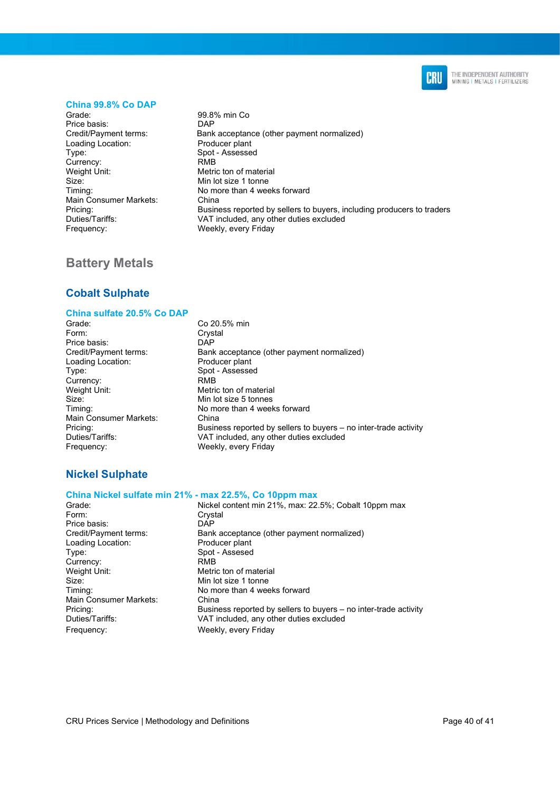

#### China 99.8% Co DAP

Grade: 99.8% min Co<br>Price basis: DAP Price basis: Loading Location: Type: Type: Spot - Assessed<br>
Currency: The Spot - Assessed<br>
RMB Currency:<br>Weight Unit: Size: Min lot size 1 tonne<br>
Timing: No more than 4 wee Main Consumer Markets: China<br>Pricing: Busine Frequency: Weekly, every Friday

Credit/Payment terms: Bank acceptance (other payment normalized)<br>
Loading Location: Producer plant Metric ton of material No more than 4 weeks forward Business reported by sellers to buyers, including producers to traders Duties/Tariffs: VAT included, any other duties excluded

### Battery Metals

### Cobalt Sulphate

#### China sulfate 20.5% Co DAP

- Grade: Co 20.5% min<br>
Form: Crystal Price basis: DAP<br>Credit/Payment terms: Bank Loading Location: Producer plant Type: Spot - Assessed<br>
Currency: Spot - Assessed<br>
RMB Currency: Weight Unit: Metric ton of material<br>Size: Min lot size 5 tonnes Main Consumer Markets:<br>Pricing: Frequency: Weekly, every Friday
- Crystal Bank acceptance (other payment normalized) Min lot size 5 tonnes Timing:  $\begin{array}{ccc} \text{Timing:} & \text{No more than 4 weeks forward} \\ \text{Main Consumer Markets:} & \text{China} \end{array}$ Pricing: Business reported by sellers to buyers – no inter-trade activity<br>Duties/Tariffs: VAT included, any other duties excluded VAT included, any other duties excluded

### Nickel Sulphate

#### China Nickel sulfate min 21% - max 22.5%, Co 10ppm max

| Grade:<br>Nickel content min 21%, max: 22.5%; Cobalt 10ppm max               |  |
|------------------------------------------------------------------------------|--|
| Form:<br>Crystal                                                             |  |
| Price basis:<br><b>DAP</b>                                                   |  |
| Credit/Payment terms:<br>Bank acceptance (other payment normalized)          |  |
| Loading Location:<br>Producer plant                                          |  |
| Spot - Assesed<br>Type:                                                      |  |
| Currency:<br><b>RMB</b>                                                      |  |
| Weight Unit:<br>Metric ton of material                                       |  |
| Size:<br>Min lot size 1 tonne                                                |  |
| Timing:<br>No more than 4 weeks forward                                      |  |
| Main Consumer Markets:<br>China                                              |  |
| Business reported by sellers to buyers – no inter-trade activity<br>Pricing: |  |
| Duties/Tariffs:<br>VAT included, any other duties excluded                   |  |
| Frequency:<br>Weekly, every Friday                                           |  |